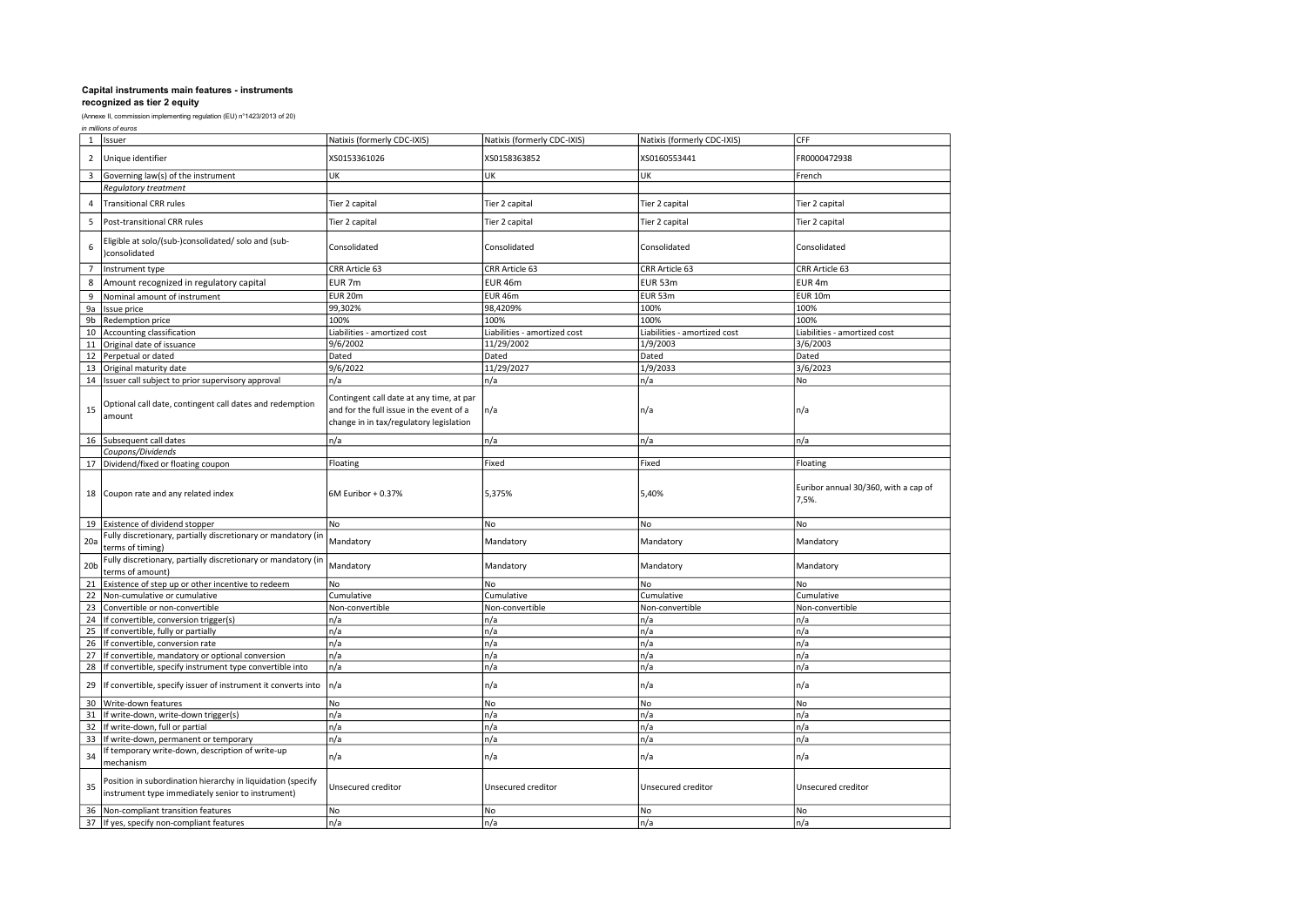|                 | in millions of euros                                                                                             |                                                                                                                                 |                              |                              |                                               |  |  |
|-----------------|------------------------------------------------------------------------------------------------------------------|---------------------------------------------------------------------------------------------------------------------------------|------------------------------|------------------------------|-----------------------------------------------|--|--|
| $\mathbf{1}$    | Issuer                                                                                                           | Natixis (formerly CDC-IXIS)                                                                                                     | Natixis (formerly CDC-IXIS)  | Natixis (formerly CDC-IXIS)  | CFF                                           |  |  |
| $\overline{2}$  | Unique identifier                                                                                                | XS0153361026                                                                                                                    | XS0158363852                 | XS0160553441                 | FR0000472938                                  |  |  |
| 3               | Governing law(s) of the instrument                                                                               | <b>UK</b>                                                                                                                       | UK                           | UK                           | French                                        |  |  |
|                 | Regulatory treatment                                                                                             |                                                                                                                                 |                              |                              |                                               |  |  |
| 4               | <b>Transitional CRR rules</b>                                                                                    | Tier 2 capital                                                                                                                  | Tier 2 capital               | Tier 2 capital               | Tier 2 capital                                |  |  |
| 5               | Post-transitional CRR rules                                                                                      | Tier 2 capital                                                                                                                  | Tier 2 capital               | Tier 2 capital               | Tier 2 capital                                |  |  |
| 6               | Eligible at solo/(sub-)consolidated/ solo and (sub-<br>)consolidated                                             | Consolidated                                                                                                                    | Consolidated                 | Consolidated                 | Consolidated                                  |  |  |
| $\overline{7}$  | Instrument type                                                                                                  | CRR Article 63                                                                                                                  | CRR Article 63               | CRR Article 63               | CRR Article 63                                |  |  |
| 8               | Amount recognized in regulatory capital                                                                          | EUR <sub>7m</sub>                                                                                                               | EUR 46m                      | EUR 53m                      | EUR <sub>4m</sub>                             |  |  |
| 9               | Nominal amount of instrument                                                                                     | <b>EUR 20m</b>                                                                                                                  | <b>EUR 46m</b>               | EUR 53m                      | EUR <sub>10m</sub>                            |  |  |
| 9a              | Issue price                                                                                                      | 99,302%                                                                                                                         | 98,4209%                     | 100%                         | 100%                                          |  |  |
| 9b              | Redemption price                                                                                                 | 100%                                                                                                                            | 100%                         | 100%                         | 100%                                          |  |  |
| 10              | Accounting classification                                                                                        | Liabilities - amortized cost                                                                                                    | Liabilities - amortized cost | Liabilities - amortized cost | Liabilities - amortized cost                  |  |  |
| 11              | Original date of issuance                                                                                        | 9/6/2002                                                                                                                        | 11/29/2002                   | 1/9/2003                     | 3/6/2003                                      |  |  |
| 12              | Perpetual or dated                                                                                               | Dated                                                                                                                           | Dated                        | Dated                        | Dated                                         |  |  |
| 13              | Original maturity date                                                                                           | 9/6/2022                                                                                                                        | 11/29/2027                   | 1/9/2033                     | 3/6/2023                                      |  |  |
| 14              | Issuer call subject to prior supervisory approval                                                                | n/a                                                                                                                             | n/a                          | n/a                          | No                                            |  |  |
| 15              | Optional call date, contingent call dates and redemption<br>amount                                               | Contingent call date at any time, at par<br>and for the full issue in the event of a<br>change in in tax/regulatory legislation | n/a                          | n/a                          | n/a                                           |  |  |
| 16 <sup>1</sup> | Subsequent call dates                                                                                            | n/a                                                                                                                             | n/a                          | n/a                          | n/a                                           |  |  |
|                 | Coupons/Dividends                                                                                                |                                                                                                                                 |                              |                              |                                               |  |  |
|                 | 17 Dividend/fixed or floating coupon                                                                             | Floating                                                                                                                        | Fixed                        | Fixed                        | Floating                                      |  |  |
| 18              | Coupon rate and any related index                                                                                | 6M Euribor + 0.37%                                                                                                              | 5,375%                       | 5,40%                        | Euribor annual 30/360, with a cap of<br>7,5%. |  |  |
|                 | 19 Existence of dividend stopper                                                                                 | No                                                                                                                              | No                           | No                           | No                                            |  |  |
| 20a             | Fully discretionary, partially discretionary or mandatory (in<br>terms of timing)                                | Mandatory                                                                                                                       | Mandatory                    | Mandatory                    | Mandatory                                     |  |  |
| 20 <sub>b</sub> | Fully discretionary, partially discretionary or mandatory (in<br>terms of amount)                                | Mandatory                                                                                                                       | Mandatory                    | Mandatory                    | Mandatory                                     |  |  |
| 21              | Existence of step up or other incentive to redeem                                                                | No                                                                                                                              | No                           | No                           | No                                            |  |  |
| 22              | Non-cumulative or cumulative                                                                                     | Cumulative                                                                                                                      | Cumulative                   | Cumulative                   | Cumulative                                    |  |  |
| 23              | Convertible or non-convertible                                                                                   | Non-convertible                                                                                                                 | Non-convertible              | Non-convertible              | Non-convertible                               |  |  |
| 24              | If convertible, conversion trigger(s)                                                                            | n/a                                                                                                                             | n/a                          | n/a                          | n/a                                           |  |  |
| 25              | If convertible, fully or partially                                                                               | n/a                                                                                                                             | n/a                          | n/a                          | n/a                                           |  |  |
| 26              | If convertible, conversion rate                                                                                  | n/a                                                                                                                             | n/a                          | n/a                          | n/a                                           |  |  |
| 27              | f convertible, mandatory or optional conversion                                                                  | n/a                                                                                                                             | n/a                          | n/a                          | n/a                                           |  |  |
| 28              | If convertible, specify instrument type convertible into                                                         | n/a                                                                                                                             | n/a                          | n/a                          | n/a                                           |  |  |
| 29              | If convertible, specify issuer of instrument it converts into                                                    | n/a                                                                                                                             | n/a                          | n/a                          | n/a                                           |  |  |
| 30              | Write-down features                                                                                              | No                                                                                                                              | No                           | No                           | No                                            |  |  |
| 31              | If write-down, write-down trigger(s)                                                                             | n/a                                                                                                                             | n/a                          | n/a                          | n/a                                           |  |  |
| 32              | If write-down, full or partial                                                                                   | n/a                                                                                                                             | n/a                          | n/a                          | n/a                                           |  |  |
| 33              | If write-down, permanent or temporary                                                                            | n/a                                                                                                                             | n/a                          | n/a                          | n/a                                           |  |  |
| 34              | f temporary write-down, description of write-up<br>mechanism                                                     | n/a                                                                                                                             | n/a                          | n/a                          | n/a                                           |  |  |
| 35              | Position in subordination hierarchy in liquidation (specify<br>instrument type immediately senior to instrument) | Unsecured creditor                                                                                                              | Unsecured creditor           | Unsecured creditor           | Unsecured creditor                            |  |  |
| 36              | Non-compliant transition features                                                                                | No                                                                                                                              | No                           | No                           | No                                            |  |  |
|                 | 37 If yes, specify non-compliant features                                                                        | n/a                                                                                                                             | n/a                          | n/a                          | n/a                                           |  |  |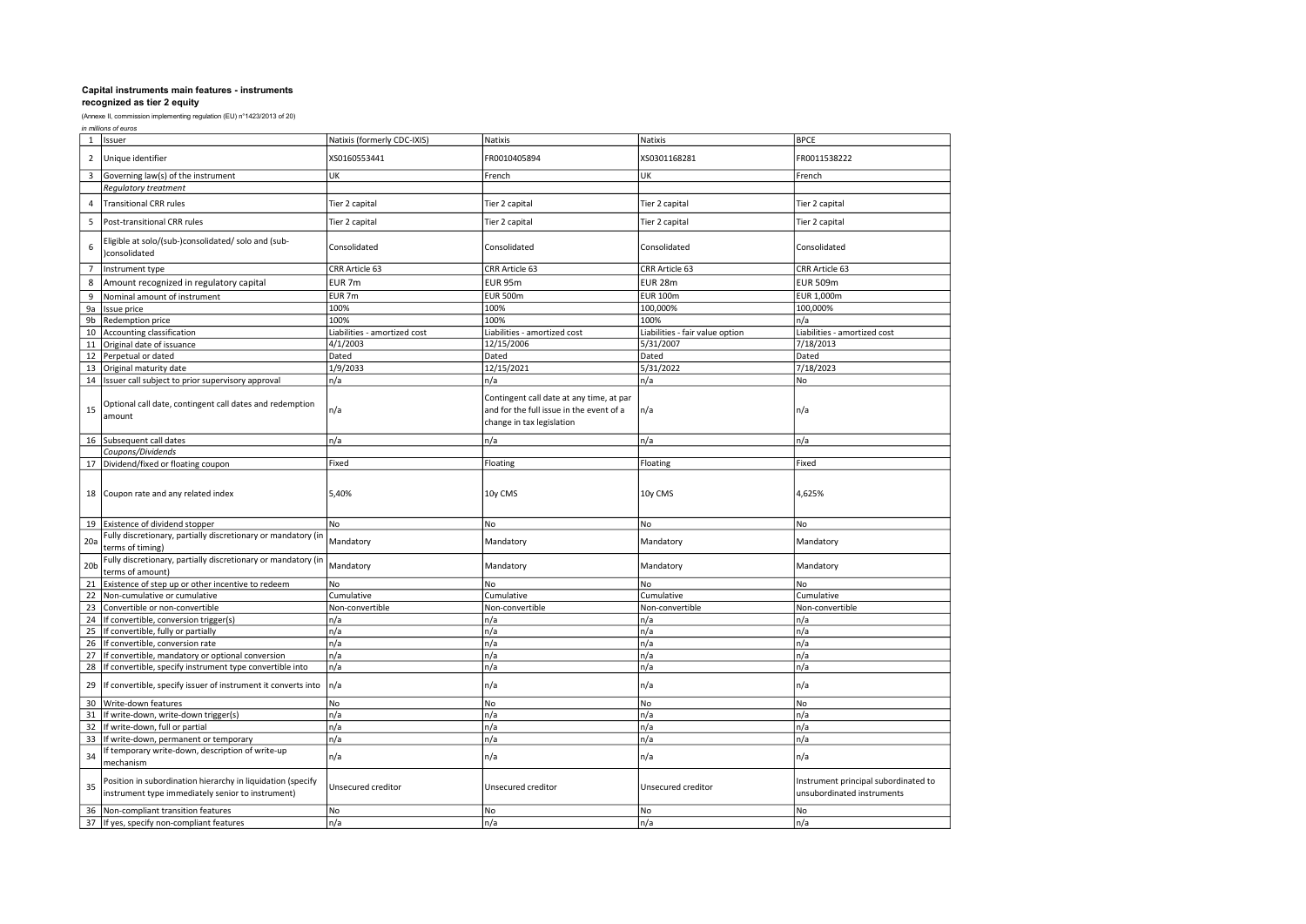|                 | in millions of euros                                                                                                      |                              |                                                                                                                   |                                 |                                                                    |  |
|-----------------|---------------------------------------------------------------------------------------------------------------------------|------------------------------|-------------------------------------------------------------------------------------------------------------------|---------------------------------|--------------------------------------------------------------------|--|
| 1               | Issuer                                                                                                                    | Natixis (formerly CDC-IXIS)  | Natixis                                                                                                           | Natixis                         | <b>BPCE</b>                                                        |  |
| $\overline{2}$  | Unique identifier                                                                                                         | XS0160553441                 | FR0010405894                                                                                                      | XS0301168281                    | FR0011538222                                                       |  |
| 3               | Governing law(s) of the instrument                                                                                        | UK                           | French                                                                                                            | UK                              | French                                                             |  |
|                 | Regulatory treatment                                                                                                      |                              |                                                                                                                   |                                 |                                                                    |  |
| 4               | <b>Transitional CRR rules</b>                                                                                             | Tier 2 capital               | Tier 2 capital                                                                                                    | Tier 2 capital                  | Tier 2 capital                                                     |  |
| 5               | Post-transitional CRR rules                                                                                               | Tier 2 capital               | Tier 2 capital                                                                                                    | Tier 2 capital                  | Tier 2 capital                                                     |  |
| 6               | Eligible at solo/(sub-)consolidated/ solo and (sub-<br>consolidated                                                       | Consolidated                 | Consolidated                                                                                                      | Consolidated                    | Consolidated                                                       |  |
| $\overline{7}$  | Instrument type                                                                                                           | CRR Article 63               | CRR Article 63                                                                                                    | CRR Article 63                  | CRR Article 63                                                     |  |
| 8               | Amount recognized in regulatory capital                                                                                   | EUR <sub>7m</sub>            | EUR 95m                                                                                                           | <b>EUR 28m</b>                  | <b>EUR 509m</b>                                                    |  |
| 9               | Nominal amount of instrument                                                                                              | EUR <sub>7m</sub>            | <b>EUR 500m</b>                                                                                                   | <b>EUR 100m</b>                 | EUR 1,000m                                                         |  |
| 9a              | Issue price                                                                                                               | 100%                         | 100%                                                                                                              | 100,000%                        | 100,000%                                                           |  |
| 9b              | Redemption price                                                                                                          | 100%                         | 100%                                                                                                              | 100%                            | n/a                                                                |  |
|                 |                                                                                                                           |                              |                                                                                                                   |                                 |                                                                    |  |
| 10              | Accounting classification                                                                                                 | Liabilities - amortized cost | Liabilities - amortized cost                                                                                      | Liabilities - fair value option | Liabilities - amortized cost                                       |  |
| 11              | Original date of issuance                                                                                                 | 4/1/2003                     | 12/15/2006                                                                                                        | 5/31/2007                       | 7/18/2013                                                          |  |
| 12              | Perpetual or dated                                                                                                        | Dated                        | Dated                                                                                                             | Dated                           | Dated                                                              |  |
| 13              | Original maturity date                                                                                                    | 1/9/2033                     | 12/15/2021                                                                                                        | 5/31/2022                       | 7/18/2023                                                          |  |
| 14              | Issuer call subject to prior supervisory approval                                                                         | n/a                          | n/a                                                                                                               | n/a                             | No                                                                 |  |
| 15              | Optional call date, contingent call dates and redemption<br>amount                                                        | n/a                          | Contingent call date at any time, at par<br>and for the full issue in the event of a<br>change in tax legislation | n/a                             | n/a                                                                |  |
| 16              | Subsequent call dates                                                                                                     | n/a                          | n/a                                                                                                               | n/a                             | n/a                                                                |  |
|                 | Coupons/Dividends                                                                                                         |                              |                                                                                                                   |                                 |                                                                    |  |
| 17              | Dividend/fixed or floating coupon                                                                                         | Fixed                        | Floating                                                                                                          | Floating                        | Fixed                                                              |  |
| 18              | Coupon rate and any related index                                                                                         | 5,40%                        | 10y CMS                                                                                                           | 10y CMS                         | 4,625%                                                             |  |
|                 | 19 Existence of dividend stopper                                                                                          | No                           | No                                                                                                                | No                              | No                                                                 |  |
| 20a             | Fully discretionary, partially discretionary or mandatory (in<br>terms of timing)                                         | Mandatory                    | Mandatory                                                                                                         | Mandatory                       | Mandatory                                                          |  |
| 20 <sub>b</sub> | Fully discretionary, partially discretionary or mandatory (in<br>terms of amount)                                         | Mandatory                    | Mandatory                                                                                                         | Mandatory                       | Mandatory                                                          |  |
| 21              | Existence of step up or other incentive to redeem                                                                         | No                           | No                                                                                                                | <b>No</b>                       | No.                                                                |  |
| 22              | Non-cumulative or cumulative                                                                                              | Cumulative                   | Cumulative                                                                                                        | Cumulative                      | Cumulative                                                         |  |
| 23              | Convertible or non-convertible                                                                                            | Non-convertible              | Non-convertible                                                                                                   | Non-convertible                 | Non-convertible                                                    |  |
| 24              | If convertible, conversion trigger(s)                                                                                     | n/a                          | n/a                                                                                                               | n/a                             | n/a                                                                |  |
| 25              | If convertible, fully or partially                                                                                        | n/a                          | n/a                                                                                                               | n/a                             | n/a                                                                |  |
|                 |                                                                                                                           | n/a                          | n/a                                                                                                               | n/a                             | n/a                                                                |  |
| 26              | If convertible, conversion rate                                                                                           |                              |                                                                                                                   |                                 |                                                                    |  |
| 27              | If convertible, mandatory or optional conversion                                                                          | n/a                          | n/a                                                                                                               | n/a                             | n/a                                                                |  |
| 28<br>29        | If convertible, specify instrument type convertible into<br>If convertible, specify issuer of instrument it converts into | n/a<br>n/a                   | n/a<br>n/a                                                                                                        | n/a<br>n/a                      | n/a<br>n/a                                                         |  |
|                 |                                                                                                                           |                              |                                                                                                                   |                                 |                                                                    |  |
| 30              | Write-down features                                                                                                       | No                           | No                                                                                                                | No                              | No                                                                 |  |
| 31              | If write-down, write-down trigger(s)                                                                                      | n/a                          | n/a                                                                                                               | n/a                             | n/a                                                                |  |
| 32              | If write-down, full or partial                                                                                            | n/a                          | n/a                                                                                                               | n/a                             | n/a                                                                |  |
| 33              | If write-down, permanent or temporary                                                                                     | n/a                          | n/a                                                                                                               | n/a                             | n/a                                                                |  |
| 34              | f temporary write-down, description of write-up<br>mechanism                                                              | n/a                          | n/a                                                                                                               | n/a                             | n/a                                                                |  |
| 35              | Position in subordination hierarchy in liquidation (specify<br>instrument type immediately senior to instrument)          | Unsecured creditor           | Unsecured creditor                                                                                                | Unsecured creditor              | Instrument principal subordinated to<br>unsubordinated instruments |  |
| 36              | Non-compliant transition features                                                                                         | No                           | No                                                                                                                | No                              | No                                                                 |  |
|                 | 37 If yes, specify non-compliant features                                                                                 | n/a                          | n/a                                                                                                               | n/a                             | n/a                                                                |  |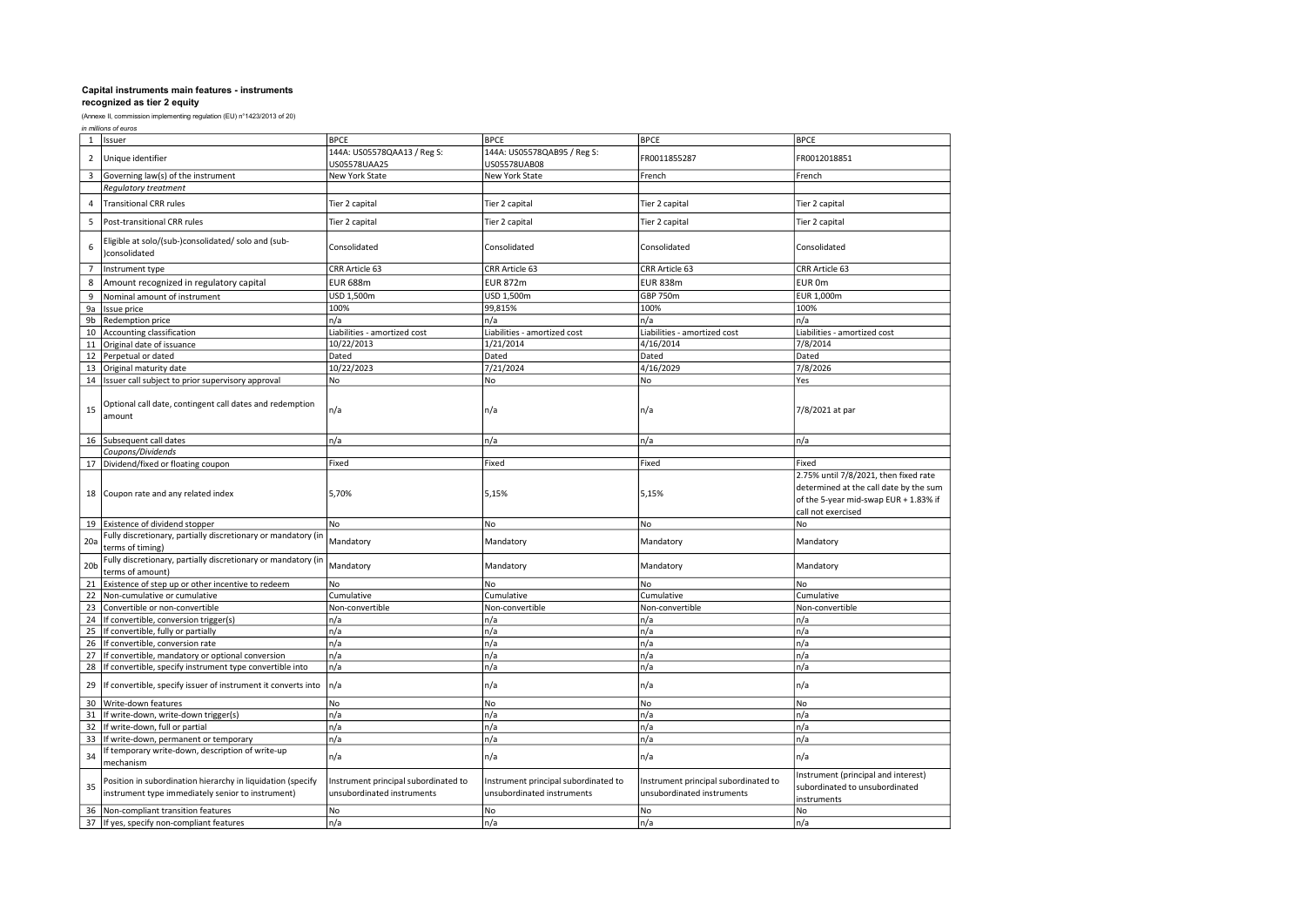| in millions of euros |  |
|----------------------|--|
|----------------------|--|

| $\mathbf{1}$    | Issuer                                                                                                           | <b>BPCE</b>                                                        | <b>BPCE</b>                                                        | <b>BPCE</b>                                                        | <b>BPCE</b>                                                                                                                                    |
|-----------------|------------------------------------------------------------------------------------------------------------------|--------------------------------------------------------------------|--------------------------------------------------------------------|--------------------------------------------------------------------|------------------------------------------------------------------------------------------------------------------------------------------------|
| $\overline{2}$  | Unique identifier                                                                                                | 144A: US05578QAA13 / Reg S:                                        | 144A: US05578QAB95 / Reg S:                                        | FR0011855287                                                       | FR0012018851                                                                                                                                   |
|                 |                                                                                                                  | US05578UAA25                                                       | US05578UAB08                                                       |                                                                    |                                                                                                                                                |
| 3               | Governing law(s) of the instrument                                                                               | New York State                                                     | New York State                                                     | French                                                             | French                                                                                                                                         |
|                 | Regulatory treatment                                                                                             |                                                                    |                                                                    |                                                                    |                                                                                                                                                |
| $\overline{4}$  | <b>Transitional CRR rules</b>                                                                                    | Tier 2 capital                                                     | Tier 2 capital                                                     | Tier 2 capital                                                     | Tier 2 capital                                                                                                                                 |
| 5               | Post-transitional CRR rules                                                                                      | Tier 2 capital                                                     | Tier 2 capital                                                     | Tier 2 capital                                                     | Tier 2 capital                                                                                                                                 |
| 6               | Eligible at solo/(sub-)consolidated/ solo and (sub-<br>)consolidated                                             | Consolidated                                                       | Consolidated                                                       | Consolidated                                                       | Consolidated                                                                                                                                   |
| $\overline{7}$  | Instrument type                                                                                                  | CRR Article 63                                                     | CRR Article 63                                                     | CRR Article 63                                                     | CRR Article 63                                                                                                                                 |
| 8               | Amount recognized in regulatory capital                                                                          | <b>EUR 688m</b>                                                    | <b>EUR 872m</b>                                                    | <b>EUR 838m</b>                                                    | EUR 0m                                                                                                                                         |
| 9               | Nominal amount of instrument                                                                                     | USD 1,500m                                                         | USD 1,500m                                                         | GBP 750m                                                           | EUR 1,000m                                                                                                                                     |
| 9a              | Issue price                                                                                                      | 100%                                                               | 99,815%                                                            | 100%                                                               | 100%                                                                                                                                           |
| 9b              | Redemption price                                                                                                 | n/a                                                                | n/a                                                                | n/a                                                                | n/a                                                                                                                                            |
| 10              | Accounting classification                                                                                        | Liabilities - amortized cost                                       | Liabilities - amortized cost                                       | Liabilities - amortized cost                                       | Liabilities - amortized cost                                                                                                                   |
| 11              | Original date of issuance                                                                                        | 10/22/2013                                                         | 1/21/2014                                                          | 4/16/2014                                                          | 7/8/2014                                                                                                                                       |
| 12              | Perpetual or dated                                                                                               | Dated                                                              | Dated                                                              | Dated                                                              | Dated                                                                                                                                          |
| 13              | Original maturity date                                                                                           | 10/22/2023                                                         | 7/21/2024                                                          | 4/16/2029                                                          | 7/8/2026                                                                                                                                       |
| 14              | Issuer call subject to prior supervisory approval                                                                | No                                                                 | No                                                                 | No                                                                 | Yes                                                                                                                                            |
|                 |                                                                                                                  |                                                                    |                                                                    |                                                                    |                                                                                                                                                |
| 15              | Optional call date, contingent call dates and redemption<br>amount                                               | n/a                                                                | n/a                                                                | n/a                                                                | 7/8/2021 at par                                                                                                                                |
| 16              | Subsequent call dates                                                                                            | n/a                                                                | n/a                                                                | n/a                                                                | n/a                                                                                                                                            |
|                 | Coupons/Dividends                                                                                                |                                                                    |                                                                    |                                                                    |                                                                                                                                                |
| 17              | Dividend/fixed or floating coupon                                                                                | Fixed                                                              | Fixed                                                              | Fixed                                                              | Fixed                                                                                                                                          |
| 18              | Coupon rate and any related index                                                                                | 5,70%                                                              | 5,15%                                                              | 5,15%                                                              | 2.75% until 7/8/2021, then fixed rate<br>determined at the call date by the sum<br>of the 5-year mid-swap EUR + 1.83% if<br>call not exercised |
|                 | 19 Existence of dividend stopper                                                                                 | No                                                                 | No                                                                 | No                                                                 | No                                                                                                                                             |
| 20a             | Fully discretionary, partially discretionary or mandatory (in<br>terms of timing)                                | Mandatory                                                          | Mandatory                                                          | Mandatory                                                          | Mandatory                                                                                                                                      |
| 20 <sub>b</sub> | Fully discretionary, partially discretionary or mandatory (in<br>terms of amount)                                | Mandatory                                                          | Mandatory                                                          | Mandatory                                                          | Mandatory                                                                                                                                      |
| 21              | Existence of step up or other incentive to redeem                                                                | No                                                                 | No                                                                 | No                                                                 | No                                                                                                                                             |
| 22              | Non-cumulative or cumulative                                                                                     | Cumulative                                                         | Cumulative                                                         | Cumulative                                                         | Cumulative                                                                                                                                     |
| 23              | Convertible or non-convertible                                                                                   | Non-convertible                                                    | Non-convertible                                                    | Non-convertible                                                    | Non-convertible                                                                                                                                |
| 24              | If convertible, conversion trigger(s)                                                                            | n/a                                                                | n/a                                                                | n/a                                                                | n/a                                                                                                                                            |
| 25              | If convertible, fully or partially                                                                               | n/a                                                                | n/a                                                                | n/a                                                                | n/a                                                                                                                                            |
| 26              | If convertible, conversion rate                                                                                  | n/a                                                                | n/a                                                                | n/a                                                                | n/a                                                                                                                                            |
| 27              | If convertible, mandatory or optional conversion                                                                 | n/a                                                                | n/a                                                                | n/a                                                                | n/a                                                                                                                                            |
| 28              | If convertible, specify instrument type convertible into                                                         | n/a                                                                | n/a                                                                | n/a                                                                | n/a                                                                                                                                            |
| 29              | If convertible, specify issuer of instrument it converts into                                                    | n/a                                                                | n/a                                                                | n/a                                                                | n/a                                                                                                                                            |
| 30              | Write-down features                                                                                              | No                                                                 | No                                                                 | No                                                                 | No                                                                                                                                             |
| 31              | If write-down, write-down trigger(s)                                                                             | n/a                                                                | n/a                                                                | n/a                                                                | n/a                                                                                                                                            |
| 32              | If write-down, full or partial                                                                                   | n/a                                                                | n/a                                                                | n/a                                                                | n/a                                                                                                                                            |
| 33              | If write-down, permanent or temporary                                                                            | n/a                                                                | n/a                                                                | n/a                                                                | n/a                                                                                                                                            |
| 34              | f temporary write-down, description of write-up<br>mechanism                                                     | n/a                                                                | n/a                                                                | n/a                                                                | n/a                                                                                                                                            |
| 35              | Position in subordination hierarchy in liquidation (specify<br>instrument type immediately senior to instrument) | Instrument principal subordinated to<br>unsubordinated instruments | Instrument principal subordinated to<br>unsubordinated instruments | Instrument principal subordinated to<br>unsubordinated instruments | Instrument (principal and interest)<br>subordinated to unsubordinated<br>instruments                                                           |
| 36              | Non-compliant transition features                                                                                | No                                                                 | No                                                                 | No                                                                 | No                                                                                                                                             |
| 37              | If yes, specify non-compliant features                                                                           | n/a                                                                | n/a                                                                | n/a                                                                | n/a                                                                                                                                            |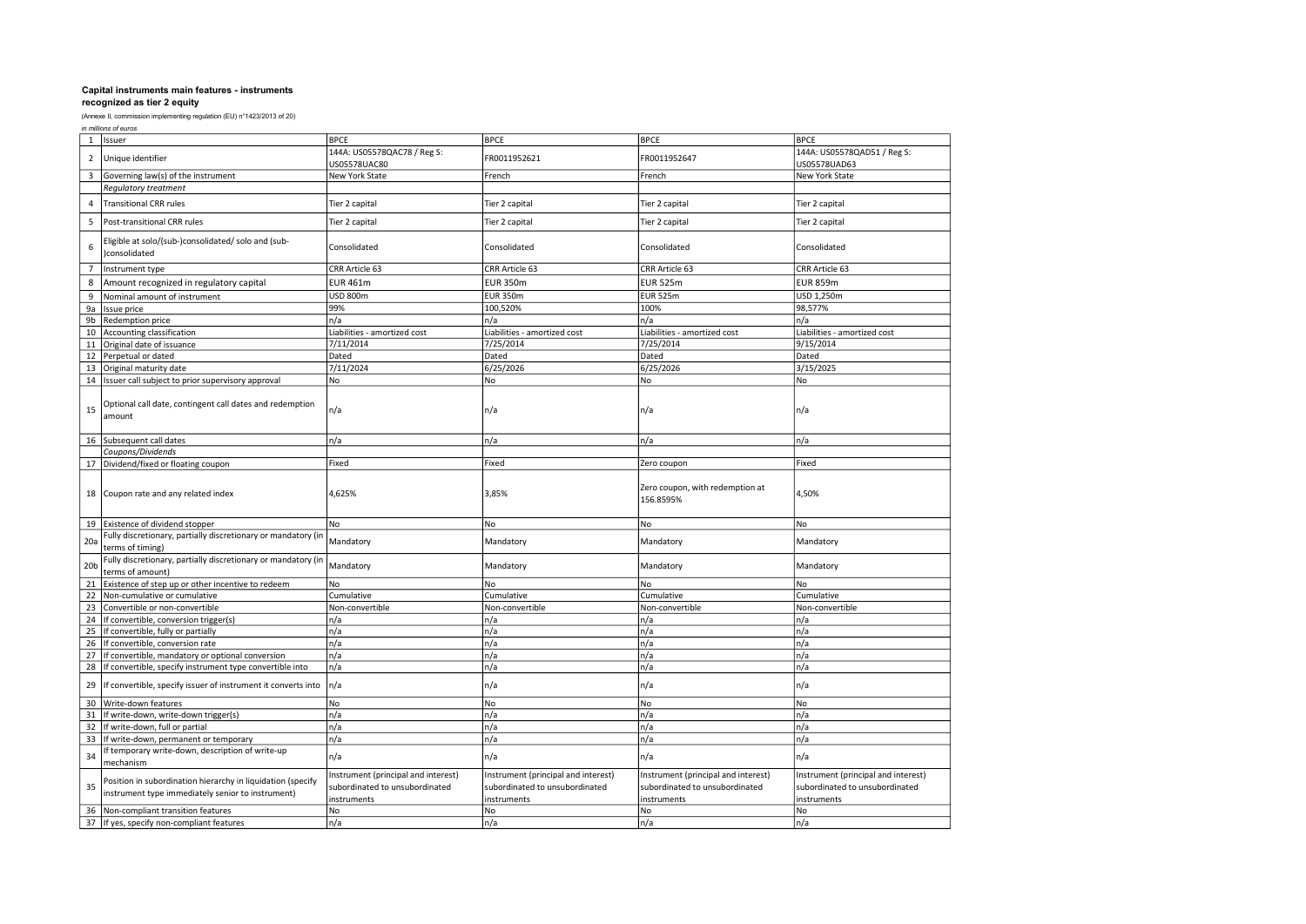(Annexe II, commission implementing regulation (EU) n°1423/2013 of 20)

in millions of euros

| 144A: US05578QAC78 / Reg S:<br>144A: US05578QAD51 / Reg S:<br>Unique identifier<br>FR0011952621<br>FR0011952647<br>$\overline{2}$<br>US05578UAC80<br>US05578UAD63<br>Governing law(s) of the instrument<br>New York State<br>New York State<br>3<br>French<br>French<br>Regulatory treatment<br><b>Transitional CRR rules</b><br>Tier 2 capital<br>Tier 2 capital<br>4<br>Tier 2 capital<br>Tier 2 capital<br>5<br>Post-transitional CRR rules<br>Tier 2 capital<br>Tier 2 capital<br>Tier 2 capital<br>Tier 2 capital<br>-ligible at solo/(sub-)consolidated/ solo and (sub-<br>6<br>Consolidated<br>Consolidated<br>Consolidated<br>Consolidated<br>)consolidated<br>$\overline{7}$<br>Instrument type<br>CRR Article 63<br>CRR Article 63<br>CRR Article 63<br>CRR Article 63<br><b>EUR 461m</b><br><b>EUR 350m</b><br><b>EUR 525m</b><br><b>EUR 859m</b><br>8<br>Amount recognized in regulatory capital<br><b>USD 800m</b><br><b>EUR 350m</b><br><b>EUR 525m</b><br>USD 1,250m<br>9<br>Nominal amount of instrument<br>9a<br>99%<br>100,520%<br>100%<br>Issue price<br>98,577%<br>n/a<br>n/a<br>9b<br>Redemption price<br>n/a<br>n/a<br>Accounting classification<br>Liabilities - amortized cost<br>Liabilities - amortized cost<br>Liabilities - amortized cost<br>Liabilities - amortized cost<br>10<br>7/11/2014<br>7/25/2014<br>7/25/2014<br>9/15/2014<br>11<br>Original date of issuance<br>Dated<br>Perpetual or dated<br>Dated<br>Dated<br>Dated<br>12<br>7/11/2024<br>6/25/2026<br>6/25/2026<br>3/15/2025<br>13<br>Original maturity date<br>No<br>14 Issuer call subject to prior supervisory approval<br>No<br>No<br>No<br>Optional call date, contingent call dates and redemption<br>n/a<br>15<br>n/a<br>n/a<br>n/a<br>amount<br>Subsequent call dates<br>n/a<br>n/a<br>n/a<br>n/a<br>16<br>Coupons/Dividends<br>Fixed<br>Fixed<br>17 Dividend/fixed or floating coupon<br>Zero coupon<br>Fixed<br>Zero coupon, with redemption at<br>Coupon rate and any related index<br>4,625%<br>3,85%<br>4,50%<br>18<br>156.8595%<br>19 Existence of dividend stopper<br>No<br>No<br>No<br>No<br>Fully discretionary, partially discretionary or mandatory (in<br>20a<br>Mandatory<br>Mandatory<br>Mandatory<br>Mandatory<br>terms of timing)<br>Fully discretionary, partially discretionary or mandatory (ir<br>Mandatory<br>20 <sub>b</sub><br>Mandatory<br>Mandatory<br>Mandatory<br>terms of amount)<br>Existence of step up or other incentive to redeem<br>No<br>No<br>No<br>21<br>No<br>Non-cumulative or cumulative<br>22<br>Cumulative<br>Cumulative<br>Cumulative<br>Cumulative<br>23<br>Convertible or non-convertible<br>Non-convertible<br>Non-convertible<br>Non-convertible<br>Non-convertible<br>n/a<br>24<br>If convertible, conversion trigger(s)<br>n/a<br>n/a<br>n/a<br>If convertible, fully or partially<br>n/a<br>n/a<br>n/a<br>n/a<br>25<br>n/a<br>n/a<br>If convertible, conversion rate<br>n/a<br>n/a<br>26<br>27<br>n/a<br>n/a<br>n/a<br>n/a<br>If convertible, mandatory or optional conversion<br>n/a<br>n/a<br>n/a<br>28<br>If convertible, specify instrument type convertible into<br>n/a<br>n/a<br>29<br>If convertible, specify issuer of instrument it converts into<br>n/a<br>n/a<br>n/a<br>30<br>Write-down features<br>No<br>No<br>No<br>No<br>n/a<br>n/a<br>If write-down, write-down trigger(s)<br>n/a<br>n/a<br>31<br>If write-down, full or partial<br>n/a<br>32<br>n/a<br>n/a<br>n/a<br>33<br>n/a<br>n/a<br>n/a<br>n/a<br>If write-down, permanent or temporary<br>If temporary write-down, description of write-up<br>34<br>n/a<br>n/a<br>n/a<br>n/a<br>mechanism<br>Instrument (principal and interest)<br>Instrument (principal and interest)<br>Instrument (principal and interest)<br>Instrument (principal and interest)<br>Position in subordination hierarchy in liquidation (specify<br>35<br>subordinated to unsubordinated<br>subordinated to unsubordinated<br>subordinated to unsubordinated<br>subordinated to unsubordinated<br>instrument type immediately senior to instrument)<br>instruments<br>instruments<br>instruments<br>instruments<br>Non-compliant transition features<br>No<br>No<br>No<br>No<br>36 | Issuer<br>$\mathbf{1}$ |                                        | <b>BPCE</b> | <b>BPCE</b> | <b>BPCE</b> | <b>BPCE</b> |
|------------------------------------------------------------------------------------------------------------------------------------------------------------------------------------------------------------------------------------------------------------------------------------------------------------------------------------------------------------------------------------------------------------------------------------------------------------------------------------------------------------------------------------------------------------------------------------------------------------------------------------------------------------------------------------------------------------------------------------------------------------------------------------------------------------------------------------------------------------------------------------------------------------------------------------------------------------------------------------------------------------------------------------------------------------------------------------------------------------------------------------------------------------------------------------------------------------------------------------------------------------------------------------------------------------------------------------------------------------------------------------------------------------------------------------------------------------------------------------------------------------------------------------------------------------------------------------------------------------------------------------------------------------------------------------------------------------------------------------------------------------------------------------------------------------------------------------------------------------------------------------------------------------------------------------------------------------------------------------------------------------------------------------------------------------------------------------------------------------------------------------------------------------------------------------------------------------------------------------------------------------------------------------------------------------------------------------------------------------------------------------------------------------------------------------------------------------------------------------------------------------------------------------------------------------------------------------------------------------------------------------------------------------------------------------------------------------------------------------------------------------------------------------------------------------------------------------------------------------------------------------------------------------------------------------------------------------------------------------------------------------------------------------------------------------------------------------------------------------------------------------------------------------------------------------------------------------------------------------------------------------------------------------------------------------------------------------------------------------------------------------------------------------------------------------------------------------------------------------------------------------------------------------------------------------------------------------------------------------------------------------------------------------------------------------------------------------------------------------------------------------------------------------------------------------------------------------------------------------------------------------------------------------------------------------------------------------------------------------------------------------------------------------------------------------------------------------------------------------------------------------------------------------------------------------|------------------------|----------------------------------------|-------------|-------------|-------------|-------------|
|                                                                                                                                                                                                                                                                                                                                                                                                                                                                                                                                                                                                                                                                                                                                                                                                                                                                                                                                                                                                                                                                                                                                                                                                                                                                                                                                                                                                                                                                                                                                                                                                                                                                                                                                                                                                                                                                                                                                                                                                                                                                                                                                                                                                                                                                                                                                                                                                                                                                                                                                                                                                                                                                                                                                                                                                                                                                                                                                                                                                                                                                                                                                                                                                                                                                                                                                                                                                                                                                                                                                                                                                                                                                                                                                                                                                                                                                                                                                                                                                                                                                                                                                                                                    |                        |                                        |             |             |             |             |
|                                                                                                                                                                                                                                                                                                                                                                                                                                                                                                                                                                                                                                                                                                                                                                                                                                                                                                                                                                                                                                                                                                                                                                                                                                                                                                                                                                                                                                                                                                                                                                                                                                                                                                                                                                                                                                                                                                                                                                                                                                                                                                                                                                                                                                                                                                                                                                                                                                                                                                                                                                                                                                                                                                                                                                                                                                                                                                                                                                                                                                                                                                                                                                                                                                                                                                                                                                                                                                                                                                                                                                                                                                                                                                                                                                                                                                                                                                                                                                                                                                                                                                                                                                                    |                        |                                        |             |             |             |             |
|                                                                                                                                                                                                                                                                                                                                                                                                                                                                                                                                                                                                                                                                                                                                                                                                                                                                                                                                                                                                                                                                                                                                                                                                                                                                                                                                                                                                                                                                                                                                                                                                                                                                                                                                                                                                                                                                                                                                                                                                                                                                                                                                                                                                                                                                                                                                                                                                                                                                                                                                                                                                                                                                                                                                                                                                                                                                                                                                                                                                                                                                                                                                                                                                                                                                                                                                                                                                                                                                                                                                                                                                                                                                                                                                                                                                                                                                                                                                                                                                                                                                                                                                                                                    |                        |                                        |             |             |             |             |
|                                                                                                                                                                                                                                                                                                                                                                                                                                                                                                                                                                                                                                                                                                                                                                                                                                                                                                                                                                                                                                                                                                                                                                                                                                                                                                                                                                                                                                                                                                                                                                                                                                                                                                                                                                                                                                                                                                                                                                                                                                                                                                                                                                                                                                                                                                                                                                                                                                                                                                                                                                                                                                                                                                                                                                                                                                                                                                                                                                                                                                                                                                                                                                                                                                                                                                                                                                                                                                                                                                                                                                                                                                                                                                                                                                                                                                                                                                                                                                                                                                                                                                                                                                                    |                        |                                        |             |             |             |             |
|                                                                                                                                                                                                                                                                                                                                                                                                                                                                                                                                                                                                                                                                                                                                                                                                                                                                                                                                                                                                                                                                                                                                                                                                                                                                                                                                                                                                                                                                                                                                                                                                                                                                                                                                                                                                                                                                                                                                                                                                                                                                                                                                                                                                                                                                                                                                                                                                                                                                                                                                                                                                                                                                                                                                                                                                                                                                                                                                                                                                                                                                                                                                                                                                                                                                                                                                                                                                                                                                                                                                                                                                                                                                                                                                                                                                                                                                                                                                                                                                                                                                                                                                                                                    |                        |                                        |             |             |             |             |
|                                                                                                                                                                                                                                                                                                                                                                                                                                                                                                                                                                                                                                                                                                                                                                                                                                                                                                                                                                                                                                                                                                                                                                                                                                                                                                                                                                                                                                                                                                                                                                                                                                                                                                                                                                                                                                                                                                                                                                                                                                                                                                                                                                                                                                                                                                                                                                                                                                                                                                                                                                                                                                                                                                                                                                                                                                                                                                                                                                                                                                                                                                                                                                                                                                                                                                                                                                                                                                                                                                                                                                                                                                                                                                                                                                                                                                                                                                                                                                                                                                                                                                                                                                                    |                        |                                        |             |             |             |             |
|                                                                                                                                                                                                                                                                                                                                                                                                                                                                                                                                                                                                                                                                                                                                                                                                                                                                                                                                                                                                                                                                                                                                                                                                                                                                                                                                                                                                                                                                                                                                                                                                                                                                                                                                                                                                                                                                                                                                                                                                                                                                                                                                                                                                                                                                                                                                                                                                                                                                                                                                                                                                                                                                                                                                                                                                                                                                                                                                                                                                                                                                                                                                                                                                                                                                                                                                                                                                                                                                                                                                                                                                                                                                                                                                                                                                                                                                                                                                                                                                                                                                                                                                                                                    |                        |                                        |             |             |             |             |
|                                                                                                                                                                                                                                                                                                                                                                                                                                                                                                                                                                                                                                                                                                                                                                                                                                                                                                                                                                                                                                                                                                                                                                                                                                                                                                                                                                                                                                                                                                                                                                                                                                                                                                                                                                                                                                                                                                                                                                                                                                                                                                                                                                                                                                                                                                                                                                                                                                                                                                                                                                                                                                                                                                                                                                                                                                                                                                                                                                                                                                                                                                                                                                                                                                                                                                                                                                                                                                                                                                                                                                                                                                                                                                                                                                                                                                                                                                                                                                                                                                                                                                                                                                                    |                        |                                        |             |             |             |             |
|                                                                                                                                                                                                                                                                                                                                                                                                                                                                                                                                                                                                                                                                                                                                                                                                                                                                                                                                                                                                                                                                                                                                                                                                                                                                                                                                                                                                                                                                                                                                                                                                                                                                                                                                                                                                                                                                                                                                                                                                                                                                                                                                                                                                                                                                                                                                                                                                                                                                                                                                                                                                                                                                                                                                                                                                                                                                                                                                                                                                                                                                                                                                                                                                                                                                                                                                                                                                                                                                                                                                                                                                                                                                                                                                                                                                                                                                                                                                                                                                                                                                                                                                                                                    |                        |                                        |             |             |             |             |
|                                                                                                                                                                                                                                                                                                                                                                                                                                                                                                                                                                                                                                                                                                                                                                                                                                                                                                                                                                                                                                                                                                                                                                                                                                                                                                                                                                                                                                                                                                                                                                                                                                                                                                                                                                                                                                                                                                                                                                                                                                                                                                                                                                                                                                                                                                                                                                                                                                                                                                                                                                                                                                                                                                                                                                                                                                                                                                                                                                                                                                                                                                                                                                                                                                                                                                                                                                                                                                                                                                                                                                                                                                                                                                                                                                                                                                                                                                                                                                                                                                                                                                                                                                                    |                        |                                        |             |             |             |             |
|                                                                                                                                                                                                                                                                                                                                                                                                                                                                                                                                                                                                                                                                                                                                                                                                                                                                                                                                                                                                                                                                                                                                                                                                                                                                                                                                                                                                                                                                                                                                                                                                                                                                                                                                                                                                                                                                                                                                                                                                                                                                                                                                                                                                                                                                                                                                                                                                                                                                                                                                                                                                                                                                                                                                                                                                                                                                                                                                                                                                                                                                                                                                                                                                                                                                                                                                                                                                                                                                                                                                                                                                                                                                                                                                                                                                                                                                                                                                                                                                                                                                                                                                                                                    |                        |                                        |             |             |             |             |
|                                                                                                                                                                                                                                                                                                                                                                                                                                                                                                                                                                                                                                                                                                                                                                                                                                                                                                                                                                                                                                                                                                                                                                                                                                                                                                                                                                                                                                                                                                                                                                                                                                                                                                                                                                                                                                                                                                                                                                                                                                                                                                                                                                                                                                                                                                                                                                                                                                                                                                                                                                                                                                                                                                                                                                                                                                                                                                                                                                                                                                                                                                                                                                                                                                                                                                                                                                                                                                                                                                                                                                                                                                                                                                                                                                                                                                                                                                                                                                                                                                                                                                                                                                                    |                        |                                        |             |             |             |             |
|                                                                                                                                                                                                                                                                                                                                                                                                                                                                                                                                                                                                                                                                                                                                                                                                                                                                                                                                                                                                                                                                                                                                                                                                                                                                                                                                                                                                                                                                                                                                                                                                                                                                                                                                                                                                                                                                                                                                                                                                                                                                                                                                                                                                                                                                                                                                                                                                                                                                                                                                                                                                                                                                                                                                                                                                                                                                                                                                                                                                                                                                                                                                                                                                                                                                                                                                                                                                                                                                                                                                                                                                                                                                                                                                                                                                                                                                                                                                                                                                                                                                                                                                                                                    |                        |                                        |             |             |             |             |
|                                                                                                                                                                                                                                                                                                                                                                                                                                                                                                                                                                                                                                                                                                                                                                                                                                                                                                                                                                                                                                                                                                                                                                                                                                                                                                                                                                                                                                                                                                                                                                                                                                                                                                                                                                                                                                                                                                                                                                                                                                                                                                                                                                                                                                                                                                                                                                                                                                                                                                                                                                                                                                                                                                                                                                                                                                                                                                                                                                                                                                                                                                                                                                                                                                                                                                                                                                                                                                                                                                                                                                                                                                                                                                                                                                                                                                                                                                                                                                                                                                                                                                                                                                                    |                        |                                        |             |             |             |             |
|                                                                                                                                                                                                                                                                                                                                                                                                                                                                                                                                                                                                                                                                                                                                                                                                                                                                                                                                                                                                                                                                                                                                                                                                                                                                                                                                                                                                                                                                                                                                                                                                                                                                                                                                                                                                                                                                                                                                                                                                                                                                                                                                                                                                                                                                                                                                                                                                                                                                                                                                                                                                                                                                                                                                                                                                                                                                                                                                                                                                                                                                                                                                                                                                                                                                                                                                                                                                                                                                                                                                                                                                                                                                                                                                                                                                                                                                                                                                                                                                                                                                                                                                                                                    |                        |                                        |             |             |             |             |
|                                                                                                                                                                                                                                                                                                                                                                                                                                                                                                                                                                                                                                                                                                                                                                                                                                                                                                                                                                                                                                                                                                                                                                                                                                                                                                                                                                                                                                                                                                                                                                                                                                                                                                                                                                                                                                                                                                                                                                                                                                                                                                                                                                                                                                                                                                                                                                                                                                                                                                                                                                                                                                                                                                                                                                                                                                                                                                                                                                                                                                                                                                                                                                                                                                                                                                                                                                                                                                                                                                                                                                                                                                                                                                                                                                                                                                                                                                                                                                                                                                                                                                                                                                                    |                        |                                        |             |             |             |             |
|                                                                                                                                                                                                                                                                                                                                                                                                                                                                                                                                                                                                                                                                                                                                                                                                                                                                                                                                                                                                                                                                                                                                                                                                                                                                                                                                                                                                                                                                                                                                                                                                                                                                                                                                                                                                                                                                                                                                                                                                                                                                                                                                                                                                                                                                                                                                                                                                                                                                                                                                                                                                                                                                                                                                                                                                                                                                                                                                                                                                                                                                                                                                                                                                                                                                                                                                                                                                                                                                                                                                                                                                                                                                                                                                                                                                                                                                                                                                                                                                                                                                                                                                                                                    |                        |                                        |             |             |             |             |
|                                                                                                                                                                                                                                                                                                                                                                                                                                                                                                                                                                                                                                                                                                                                                                                                                                                                                                                                                                                                                                                                                                                                                                                                                                                                                                                                                                                                                                                                                                                                                                                                                                                                                                                                                                                                                                                                                                                                                                                                                                                                                                                                                                                                                                                                                                                                                                                                                                                                                                                                                                                                                                                                                                                                                                                                                                                                                                                                                                                                                                                                                                                                                                                                                                                                                                                                                                                                                                                                                                                                                                                                                                                                                                                                                                                                                                                                                                                                                                                                                                                                                                                                                                                    |                        |                                        |             |             |             |             |
|                                                                                                                                                                                                                                                                                                                                                                                                                                                                                                                                                                                                                                                                                                                                                                                                                                                                                                                                                                                                                                                                                                                                                                                                                                                                                                                                                                                                                                                                                                                                                                                                                                                                                                                                                                                                                                                                                                                                                                                                                                                                                                                                                                                                                                                                                                                                                                                                                                                                                                                                                                                                                                                                                                                                                                                                                                                                                                                                                                                                                                                                                                                                                                                                                                                                                                                                                                                                                                                                                                                                                                                                                                                                                                                                                                                                                                                                                                                                                                                                                                                                                                                                                                                    |                        |                                        |             |             |             |             |
|                                                                                                                                                                                                                                                                                                                                                                                                                                                                                                                                                                                                                                                                                                                                                                                                                                                                                                                                                                                                                                                                                                                                                                                                                                                                                                                                                                                                                                                                                                                                                                                                                                                                                                                                                                                                                                                                                                                                                                                                                                                                                                                                                                                                                                                                                                                                                                                                                                                                                                                                                                                                                                                                                                                                                                                                                                                                                                                                                                                                                                                                                                                                                                                                                                                                                                                                                                                                                                                                                                                                                                                                                                                                                                                                                                                                                                                                                                                                                                                                                                                                                                                                                                                    |                        |                                        |             |             |             |             |
|                                                                                                                                                                                                                                                                                                                                                                                                                                                                                                                                                                                                                                                                                                                                                                                                                                                                                                                                                                                                                                                                                                                                                                                                                                                                                                                                                                                                                                                                                                                                                                                                                                                                                                                                                                                                                                                                                                                                                                                                                                                                                                                                                                                                                                                                                                                                                                                                                                                                                                                                                                                                                                                                                                                                                                                                                                                                                                                                                                                                                                                                                                                                                                                                                                                                                                                                                                                                                                                                                                                                                                                                                                                                                                                                                                                                                                                                                                                                                                                                                                                                                                                                                                                    |                        |                                        |             |             |             |             |
|                                                                                                                                                                                                                                                                                                                                                                                                                                                                                                                                                                                                                                                                                                                                                                                                                                                                                                                                                                                                                                                                                                                                                                                                                                                                                                                                                                                                                                                                                                                                                                                                                                                                                                                                                                                                                                                                                                                                                                                                                                                                                                                                                                                                                                                                                                                                                                                                                                                                                                                                                                                                                                                                                                                                                                                                                                                                                                                                                                                                                                                                                                                                                                                                                                                                                                                                                                                                                                                                                                                                                                                                                                                                                                                                                                                                                                                                                                                                                                                                                                                                                                                                                                                    |                        |                                        |             |             |             |             |
|                                                                                                                                                                                                                                                                                                                                                                                                                                                                                                                                                                                                                                                                                                                                                                                                                                                                                                                                                                                                                                                                                                                                                                                                                                                                                                                                                                                                                                                                                                                                                                                                                                                                                                                                                                                                                                                                                                                                                                                                                                                                                                                                                                                                                                                                                                                                                                                                                                                                                                                                                                                                                                                                                                                                                                                                                                                                                                                                                                                                                                                                                                                                                                                                                                                                                                                                                                                                                                                                                                                                                                                                                                                                                                                                                                                                                                                                                                                                                                                                                                                                                                                                                                                    |                        |                                        |             |             |             |             |
|                                                                                                                                                                                                                                                                                                                                                                                                                                                                                                                                                                                                                                                                                                                                                                                                                                                                                                                                                                                                                                                                                                                                                                                                                                                                                                                                                                                                                                                                                                                                                                                                                                                                                                                                                                                                                                                                                                                                                                                                                                                                                                                                                                                                                                                                                                                                                                                                                                                                                                                                                                                                                                                                                                                                                                                                                                                                                                                                                                                                                                                                                                                                                                                                                                                                                                                                                                                                                                                                                                                                                                                                                                                                                                                                                                                                                                                                                                                                                                                                                                                                                                                                                                                    |                        |                                        |             |             |             |             |
|                                                                                                                                                                                                                                                                                                                                                                                                                                                                                                                                                                                                                                                                                                                                                                                                                                                                                                                                                                                                                                                                                                                                                                                                                                                                                                                                                                                                                                                                                                                                                                                                                                                                                                                                                                                                                                                                                                                                                                                                                                                                                                                                                                                                                                                                                                                                                                                                                                                                                                                                                                                                                                                                                                                                                                                                                                                                                                                                                                                                                                                                                                                                                                                                                                                                                                                                                                                                                                                                                                                                                                                                                                                                                                                                                                                                                                                                                                                                                                                                                                                                                                                                                                                    |                        |                                        |             |             |             |             |
|                                                                                                                                                                                                                                                                                                                                                                                                                                                                                                                                                                                                                                                                                                                                                                                                                                                                                                                                                                                                                                                                                                                                                                                                                                                                                                                                                                                                                                                                                                                                                                                                                                                                                                                                                                                                                                                                                                                                                                                                                                                                                                                                                                                                                                                                                                                                                                                                                                                                                                                                                                                                                                                                                                                                                                                                                                                                                                                                                                                                                                                                                                                                                                                                                                                                                                                                                                                                                                                                                                                                                                                                                                                                                                                                                                                                                                                                                                                                                                                                                                                                                                                                                                                    |                        |                                        |             |             |             |             |
|                                                                                                                                                                                                                                                                                                                                                                                                                                                                                                                                                                                                                                                                                                                                                                                                                                                                                                                                                                                                                                                                                                                                                                                                                                                                                                                                                                                                                                                                                                                                                                                                                                                                                                                                                                                                                                                                                                                                                                                                                                                                                                                                                                                                                                                                                                                                                                                                                                                                                                                                                                                                                                                                                                                                                                                                                                                                                                                                                                                                                                                                                                                                                                                                                                                                                                                                                                                                                                                                                                                                                                                                                                                                                                                                                                                                                                                                                                                                                                                                                                                                                                                                                                                    |                        |                                        |             |             |             |             |
|                                                                                                                                                                                                                                                                                                                                                                                                                                                                                                                                                                                                                                                                                                                                                                                                                                                                                                                                                                                                                                                                                                                                                                                                                                                                                                                                                                                                                                                                                                                                                                                                                                                                                                                                                                                                                                                                                                                                                                                                                                                                                                                                                                                                                                                                                                                                                                                                                                                                                                                                                                                                                                                                                                                                                                                                                                                                                                                                                                                                                                                                                                                                                                                                                                                                                                                                                                                                                                                                                                                                                                                                                                                                                                                                                                                                                                                                                                                                                                                                                                                                                                                                                                                    |                        |                                        |             |             |             |             |
|                                                                                                                                                                                                                                                                                                                                                                                                                                                                                                                                                                                                                                                                                                                                                                                                                                                                                                                                                                                                                                                                                                                                                                                                                                                                                                                                                                                                                                                                                                                                                                                                                                                                                                                                                                                                                                                                                                                                                                                                                                                                                                                                                                                                                                                                                                                                                                                                                                                                                                                                                                                                                                                                                                                                                                                                                                                                                                                                                                                                                                                                                                                                                                                                                                                                                                                                                                                                                                                                                                                                                                                                                                                                                                                                                                                                                                                                                                                                                                                                                                                                                                                                                                                    |                        |                                        |             |             |             |             |
|                                                                                                                                                                                                                                                                                                                                                                                                                                                                                                                                                                                                                                                                                                                                                                                                                                                                                                                                                                                                                                                                                                                                                                                                                                                                                                                                                                                                                                                                                                                                                                                                                                                                                                                                                                                                                                                                                                                                                                                                                                                                                                                                                                                                                                                                                                                                                                                                                                                                                                                                                                                                                                                                                                                                                                                                                                                                                                                                                                                                                                                                                                                                                                                                                                                                                                                                                                                                                                                                                                                                                                                                                                                                                                                                                                                                                                                                                                                                                                                                                                                                                                                                                                                    |                        |                                        |             |             |             |             |
|                                                                                                                                                                                                                                                                                                                                                                                                                                                                                                                                                                                                                                                                                                                                                                                                                                                                                                                                                                                                                                                                                                                                                                                                                                                                                                                                                                                                                                                                                                                                                                                                                                                                                                                                                                                                                                                                                                                                                                                                                                                                                                                                                                                                                                                                                                                                                                                                                                                                                                                                                                                                                                                                                                                                                                                                                                                                                                                                                                                                                                                                                                                                                                                                                                                                                                                                                                                                                                                                                                                                                                                                                                                                                                                                                                                                                                                                                                                                                                                                                                                                                                                                                                                    |                        |                                        |             |             |             |             |
|                                                                                                                                                                                                                                                                                                                                                                                                                                                                                                                                                                                                                                                                                                                                                                                                                                                                                                                                                                                                                                                                                                                                                                                                                                                                                                                                                                                                                                                                                                                                                                                                                                                                                                                                                                                                                                                                                                                                                                                                                                                                                                                                                                                                                                                                                                                                                                                                                                                                                                                                                                                                                                                                                                                                                                                                                                                                                                                                                                                                                                                                                                                                                                                                                                                                                                                                                                                                                                                                                                                                                                                                                                                                                                                                                                                                                                                                                                                                                                                                                                                                                                                                                                                    |                        |                                        |             |             |             |             |
|                                                                                                                                                                                                                                                                                                                                                                                                                                                                                                                                                                                                                                                                                                                                                                                                                                                                                                                                                                                                                                                                                                                                                                                                                                                                                                                                                                                                                                                                                                                                                                                                                                                                                                                                                                                                                                                                                                                                                                                                                                                                                                                                                                                                                                                                                                                                                                                                                                                                                                                                                                                                                                                                                                                                                                                                                                                                                                                                                                                                                                                                                                                                                                                                                                                                                                                                                                                                                                                                                                                                                                                                                                                                                                                                                                                                                                                                                                                                                                                                                                                                                                                                                                                    |                        |                                        |             |             |             |             |
|                                                                                                                                                                                                                                                                                                                                                                                                                                                                                                                                                                                                                                                                                                                                                                                                                                                                                                                                                                                                                                                                                                                                                                                                                                                                                                                                                                                                                                                                                                                                                                                                                                                                                                                                                                                                                                                                                                                                                                                                                                                                                                                                                                                                                                                                                                                                                                                                                                                                                                                                                                                                                                                                                                                                                                                                                                                                                                                                                                                                                                                                                                                                                                                                                                                                                                                                                                                                                                                                                                                                                                                                                                                                                                                                                                                                                                                                                                                                                                                                                                                                                                                                                                                    |                        |                                        |             |             |             |             |
|                                                                                                                                                                                                                                                                                                                                                                                                                                                                                                                                                                                                                                                                                                                                                                                                                                                                                                                                                                                                                                                                                                                                                                                                                                                                                                                                                                                                                                                                                                                                                                                                                                                                                                                                                                                                                                                                                                                                                                                                                                                                                                                                                                                                                                                                                                                                                                                                                                                                                                                                                                                                                                                                                                                                                                                                                                                                                                                                                                                                                                                                                                                                                                                                                                                                                                                                                                                                                                                                                                                                                                                                                                                                                                                                                                                                                                                                                                                                                                                                                                                                                                                                                                                    |                        |                                        |             |             |             |             |
|                                                                                                                                                                                                                                                                                                                                                                                                                                                                                                                                                                                                                                                                                                                                                                                                                                                                                                                                                                                                                                                                                                                                                                                                                                                                                                                                                                                                                                                                                                                                                                                                                                                                                                                                                                                                                                                                                                                                                                                                                                                                                                                                                                                                                                                                                                                                                                                                                                                                                                                                                                                                                                                                                                                                                                                                                                                                                                                                                                                                                                                                                                                                                                                                                                                                                                                                                                                                                                                                                                                                                                                                                                                                                                                                                                                                                                                                                                                                                                                                                                                                                                                                                                                    |                        |                                        |             |             |             |             |
|                                                                                                                                                                                                                                                                                                                                                                                                                                                                                                                                                                                                                                                                                                                                                                                                                                                                                                                                                                                                                                                                                                                                                                                                                                                                                                                                                                                                                                                                                                                                                                                                                                                                                                                                                                                                                                                                                                                                                                                                                                                                                                                                                                                                                                                                                                                                                                                                                                                                                                                                                                                                                                                                                                                                                                                                                                                                                                                                                                                                                                                                                                                                                                                                                                                                                                                                                                                                                                                                                                                                                                                                                                                                                                                                                                                                                                                                                                                                                                                                                                                                                                                                                                                    |                        |                                        |             |             |             |             |
|                                                                                                                                                                                                                                                                                                                                                                                                                                                                                                                                                                                                                                                                                                                                                                                                                                                                                                                                                                                                                                                                                                                                                                                                                                                                                                                                                                                                                                                                                                                                                                                                                                                                                                                                                                                                                                                                                                                                                                                                                                                                                                                                                                                                                                                                                                                                                                                                                                                                                                                                                                                                                                                                                                                                                                                                                                                                                                                                                                                                                                                                                                                                                                                                                                                                                                                                                                                                                                                                                                                                                                                                                                                                                                                                                                                                                                                                                                                                                                                                                                                                                                                                                                                    |                        |                                        |             |             |             |             |
|                                                                                                                                                                                                                                                                                                                                                                                                                                                                                                                                                                                                                                                                                                                                                                                                                                                                                                                                                                                                                                                                                                                                                                                                                                                                                                                                                                                                                                                                                                                                                                                                                                                                                                                                                                                                                                                                                                                                                                                                                                                                                                                                                                                                                                                                                                                                                                                                                                                                                                                                                                                                                                                                                                                                                                                                                                                                                                                                                                                                                                                                                                                                                                                                                                                                                                                                                                                                                                                                                                                                                                                                                                                                                                                                                                                                                                                                                                                                                                                                                                                                                                                                                                                    |                        |                                        |             |             |             |             |
|                                                                                                                                                                                                                                                                                                                                                                                                                                                                                                                                                                                                                                                                                                                                                                                                                                                                                                                                                                                                                                                                                                                                                                                                                                                                                                                                                                                                                                                                                                                                                                                                                                                                                                                                                                                                                                                                                                                                                                                                                                                                                                                                                                                                                                                                                                                                                                                                                                                                                                                                                                                                                                                                                                                                                                                                                                                                                                                                                                                                                                                                                                                                                                                                                                                                                                                                                                                                                                                                                                                                                                                                                                                                                                                                                                                                                                                                                                                                                                                                                                                                                                                                                                                    |                        |                                        |             |             |             |             |
|                                                                                                                                                                                                                                                                                                                                                                                                                                                                                                                                                                                                                                                                                                                                                                                                                                                                                                                                                                                                                                                                                                                                                                                                                                                                                                                                                                                                                                                                                                                                                                                                                                                                                                                                                                                                                                                                                                                                                                                                                                                                                                                                                                                                                                                                                                                                                                                                                                                                                                                                                                                                                                                                                                                                                                                                                                                                                                                                                                                                                                                                                                                                                                                                                                                                                                                                                                                                                                                                                                                                                                                                                                                                                                                                                                                                                                                                                                                                                                                                                                                                                                                                                                                    |                        |                                        |             |             |             |             |
|                                                                                                                                                                                                                                                                                                                                                                                                                                                                                                                                                                                                                                                                                                                                                                                                                                                                                                                                                                                                                                                                                                                                                                                                                                                                                                                                                                                                                                                                                                                                                                                                                                                                                                                                                                                                                                                                                                                                                                                                                                                                                                                                                                                                                                                                                                                                                                                                                                                                                                                                                                                                                                                                                                                                                                                                                                                                                                                                                                                                                                                                                                                                                                                                                                                                                                                                                                                                                                                                                                                                                                                                                                                                                                                                                                                                                                                                                                                                                                                                                                                                                                                                                                                    |                        |                                        |             |             |             |             |
|                                                                                                                                                                                                                                                                                                                                                                                                                                                                                                                                                                                                                                                                                                                                                                                                                                                                                                                                                                                                                                                                                                                                                                                                                                                                                                                                                                                                                                                                                                                                                                                                                                                                                                                                                                                                                                                                                                                                                                                                                                                                                                                                                                                                                                                                                                                                                                                                                                                                                                                                                                                                                                                                                                                                                                                                                                                                                                                                                                                                                                                                                                                                                                                                                                                                                                                                                                                                                                                                                                                                                                                                                                                                                                                                                                                                                                                                                                                                                                                                                                                                                                                                                                                    |                        |                                        |             |             |             |             |
|                                                                                                                                                                                                                                                                                                                                                                                                                                                                                                                                                                                                                                                                                                                                                                                                                                                                                                                                                                                                                                                                                                                                                                                                                                                                                                                                                                                                                                                                                                                                                                                                                                                                                                                                                                                                                                                                                                                                                                                                                                                                                                                                                                                                                                                                                                                                                                                                                                                                                                                                                                                                                                                                                                                                                                                                                                                                                                                                                                                                                                                                                                                                                                                                                                                                                                                                                                                                                                                                                                                                                                                                                                                                                                                                                                                                                                                                                                                                                                                                                                                                                                                                                                                    | 37                     | If yes, specify non-compliant features | n/a         | n/a         | n/a         | n/a         |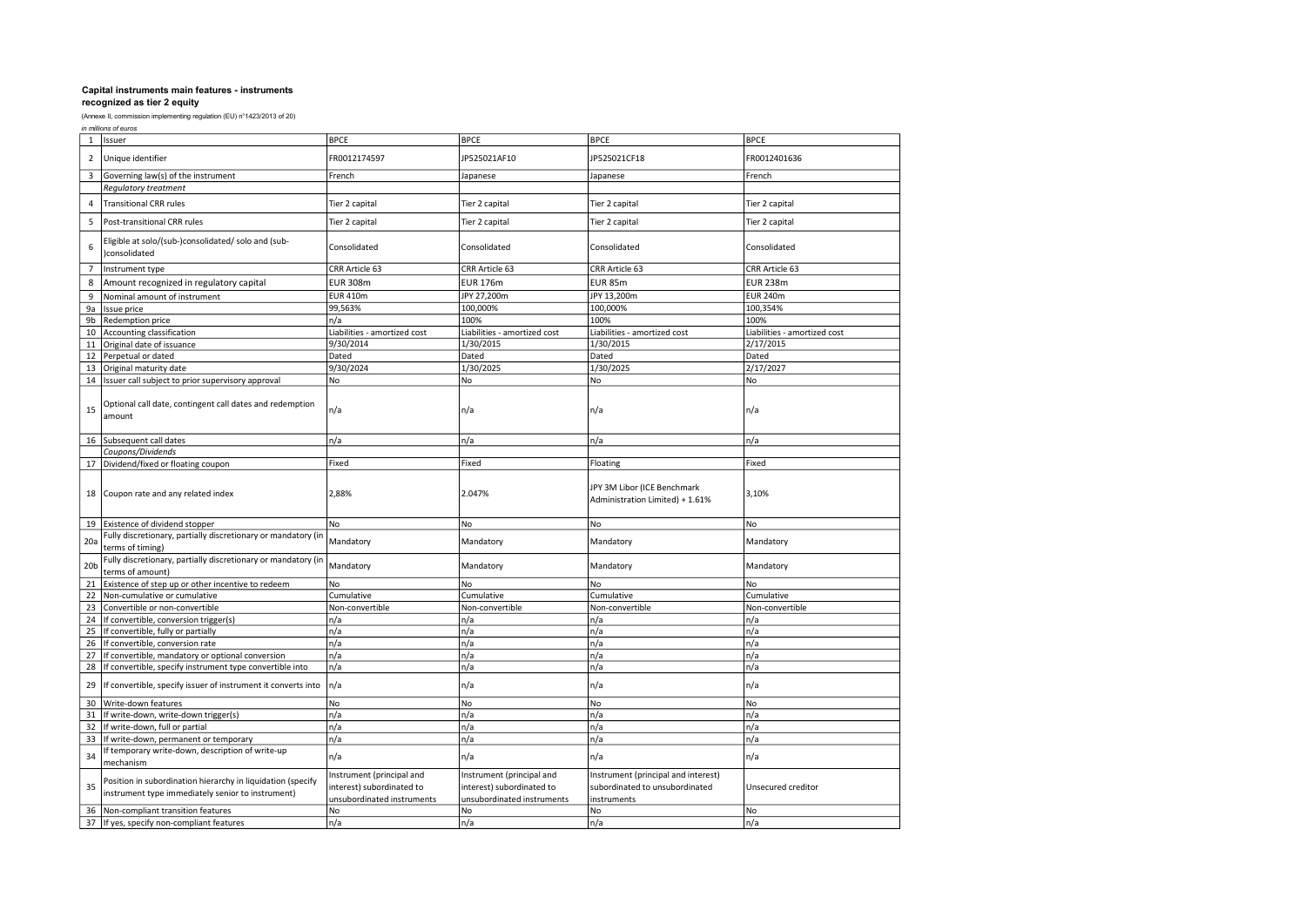| in millions of euros |  |
|----------------------|--|
|----------------------|--|

| $\mathbf{1}$    | Issuer                                                                                                           | <b>BPCE</b>                                                                          | <b>BPCE</b>                                                                          | <b>BPCE</b>                                                                          | <b>BPCE</b>                  |
|-----------------|------------------------------------------------------------------------------------------------------------------|--------------------------------------------------------------------------------------|--------------------------------------------------------------------------------------|--------------------------------------------------------------------------------------|------------------------------|
| $\overline{2}$  | Unique identifier                                                                                                | FR0012174597                                                                         | JP525021AF10                                                                         | JP525021CF18                                                                         | FR0012401636                 |
| 3               | Governing law(s) of the instrument                                                                               | French                                                                               | Japanese                                                                             | Japanese                                                                             | French                       |
|                 | Regulatory treatment                                                                                             |                                                                                      |                                                                                      |                                                                                      |                              |
| 4               | <b>Transitional CRR rules</b>                                                                                    | Tier 2 capital                                                                       | Tier 2 capital                                                                       | Tier 2 capital                                                                       | Tier 2 capital               |
| 5               | Post-transitional CRR rules                                                                                      | Tier 2 capital                                                                       | Tier 2 capital                                                                       | Tier 2 capital                                                                       | Tier 2 capital               |
| 6               | Eligible at solo/(sub-)consolidated/ solo and (sub-<br>consolidated                                              | Consolidated                                                                         | Consolidated                                                                         | Consolidated                                                                         | Consolidated                 |
| $\overline{7}$  | Instrument type                                                                                                  | CRR Article 63                                                                       | CRR Article 63                                                                       | CRR Article 63                                                                       | CRR Article 63               |
| 8               | Amount recognized in regulatory capital                                                                          | <b>EUR 308m</b>                                                                      | <b>EUR 176m</b>                                                                      | EUR 85m                                                                              | <b>EUR 238m</b>              |
| 9               | Nominal amount of instrument                                                                                     | <b>EUR 410m</b>                                                                      | JPY 27,200m                                                                          | JPY 13,200m                                                                          | <b>EUR 240m</b>              |
| 9a              | Issue price                                                                                                      | 99,563%                                                                              | 100,000%                                                                             | 100,000%                                                                             | 100,354%                     |
| 9 <sub>b</sub>  | Redemption price                                                                                                 | n/a                                                                                  | 100%                                                                                 | 100%                                                                                 | 100%                         |
| 10              | Accounting classification                                                                                        | Liabilities - amortized cost                                                         | Liabilities - amortized cost                                                         | Liabilities - amortized cost                                                         | Liabilities - amortized cost |
| 11              | Original date of issuance                                                                                        | 9/30/2014                                                                            | 1/30/2015                                                                            | 1/30/2015                                                                            | 2/17/2015                    |
| 12              | Perpetual or dated                                                                                               | Dated                                                                                | Dated                                                                                | Dated                                                                                | Dated                        |
| 13              | Original maturity date                                                                                           | 9/30/2024                                                                            | 1/30/2025                                                                            | 1/30/2025                                                                            | 2/17/2027                    |
| 14              | Issuer call subject to prior supervisory approval                                                                | No                                                                                   | No                                                                                   | No                                                                                   | No                           |
| 15              | Optional call date, contingent call dates and redemption<br>amount                                               | n/a                                                                                  | n/a                                                                                  | n/a                                                                                  | n/a                          |
| 16              | Subsequent call dates                                                                                            | n/a                                                                                  | n/a                                                                                  | n/a                                                                                  | n/a                          |
|                 | Coupons/Dividends                                                                                                |                                                                                      |                                                                                      |                                                                                      |                              |
|                 | 17 Dividend/fixed or floating coupon                                                                             | Fixed                                                                                | Fixed                                                                                | Floating                                                                             | Fixed                        |
| 18              | Coupon rate and any related index                                                                                | 2,88%                                                                                | 2.047%                                                                               | JPY 3M Libor (ICE Benchmark<br>Administration Limited) + 1.61%                       | 3,10%                        |
| 19              | Existence of dividend stopper                                                                                    | No                                                                                   | No                                                                                   | No                                                                                   | No                           |
| 20a             | Fully discretionary, partially discretionary or mandatory (ir<br>terms of timing)                                | Mandatory                                                                            | Mandatory                                                                            | Mandatory                                                                            | Mandatory                    |
| 20 <sub>b</sub> | Fully discretionary, partially discretionary or mandatory (ir<br>terms of amount)                                | Mandatory                                                                            | Mandatory                                                                            | Mandatory                                                                            | Mandatory                    |
| 21              | Existence of step up or other incentive to redeem                                                                | No                                                                                   | No                                                                                   | No                                                                                   | N <sub>o</sub>               |
| 22              | Non-cumulative or cumulative                                                                                     | Cumulative                                                                           | Cumulative                                                                           | Cumulative                                                                           | Cumulative                   |
| 23              | Convertible or non-convertible                                                                                   | Non-convertible                                                                      | Non-convertible                                                                      | Non-convertible                                                                      | Non-convertible              |
| 24              | If convertible, conversion trigger(s)                                                                            | n/a                                                                                  | n/a                                                                                  | n/a                                                                                  | n/a                          |
| 25              | If convertible, fully or partially                                                                               | n/a                                                                                  | n/a                                                                                  | n/a                                                                                  | n/a                          |
| 26              | If convertible, conversion rate                                                                                  | n/a                                                                                  | n/a                                                                                  | n/a                                                                                  | n/a                          |
| 27              | If convertible, mandatory or optional conversion                                                                 | n/a                                                                                  | n/a                                                                                  | n/a                                                                                  | n/a                          |
| 28              | If convertible, specify instrument type convertible into                                                         | n/a                                                                                  | n/a                                                                                  | n/a                                                                                  | n/a                          |
| 29              | If convertible, specify issuer of instrument it converts into                                                    | n/a                                                                                  | n/a                                                                                  | n/a                                                                                  | n/a                          |
| 30              | Write-down features                                                                                              | No                                                                                   | No                                                                                   | No                                                                                   | <b>No</b>                    |
| 31              | If write-down, write-down trigger(s)                                                                             | n/a                                                                                  | n/a                                                                                  | n/a                                                                                  | n/a                          |
| 32              | If write-down, full or partial                                                                                   | n/a                                                                                  | n/a                                                                                  | n/a                                                                                  | n/a                          |
| 33              | If write-down, permanent or temporary                                                                            | n/a                                                                                  | n/a                                                                                  | n/a                                                                                  | n/a                          |
| 34              | f temporary write-down, description of write-up<br>mechanism                                                     | n/a                                                                                  | n/a                                                                                  | n/a                                                                                  | n/a                          |
| 35              | Position in subordination hierarchy in liquidation (specify<br>instrument type immediately senior to instrument) | Instrument (principal and<br>interest) subordinated to<br>unsubordinated instruments | Instrument (principal and<br>interest) subordinated to<br>unsubordinated instruments | Instrument (principal and interest)<br>subordinated to unsubordinated<br>instruments | Unsecured creditor           |
| 36              | Non-compliant transition features                                                                                | No                                                                                   | No                                                                                   | No                                                                                   | No                           |
| 37              | If yes, specify non-compliant features                                                                           | n/a                                                                                  | n/a                                                                                  | n/a                                                                                  | n/a                          |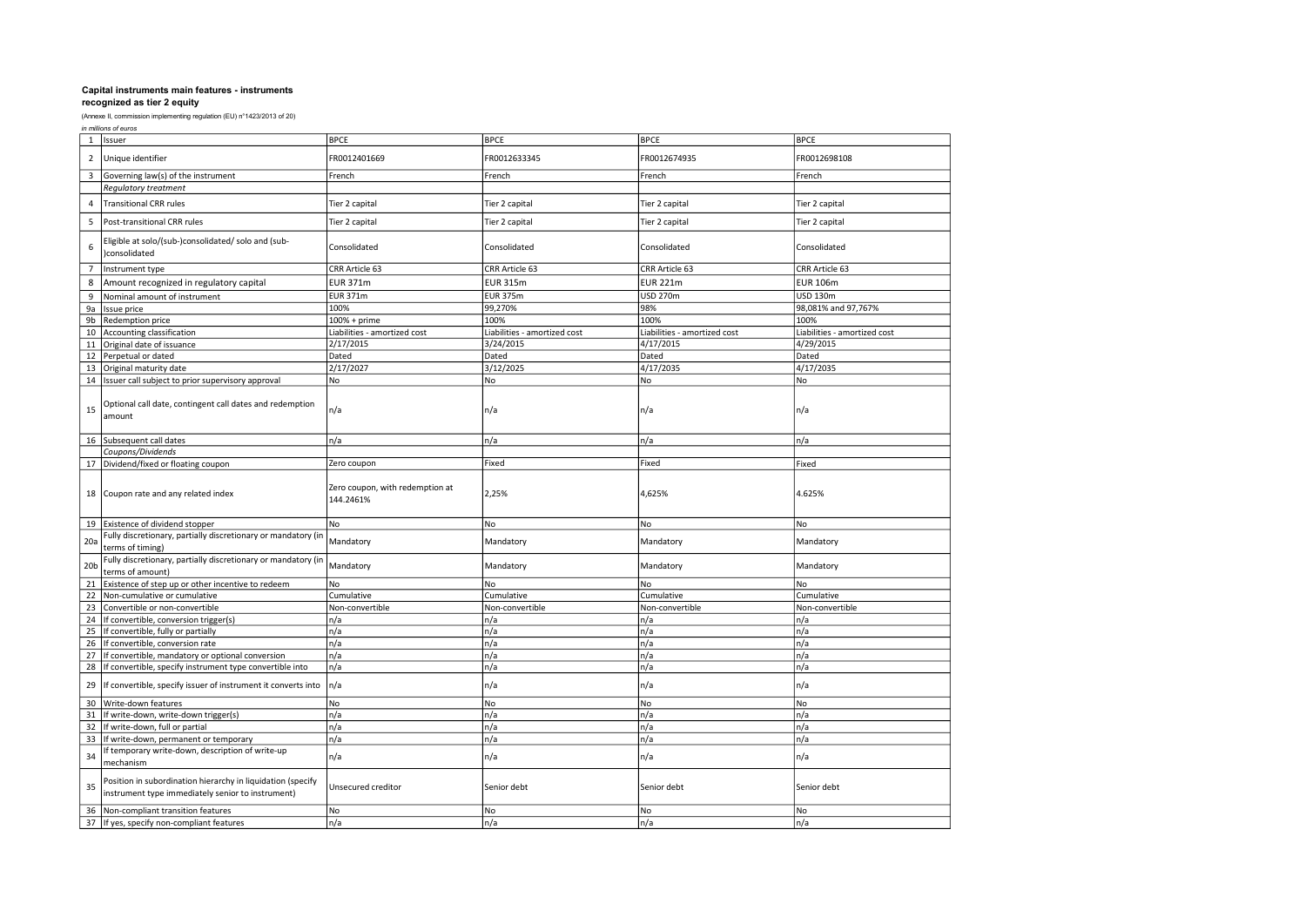|                 | in millions of euros                                                                                                      |                                              |                              |                              |                              |  |
|-----------------|---------------------------------------------------------------------------------------------------------------------------|----------------------------------------------|------------------------------|------------------------------|------------------------------|--|
| $\mathbf{1}$    | Issuer                                                                                                                    | <b>BPCE</b>                                  | <b>BPCE</b>                  | <b>BPCE</b>                  | <b>BPCE</b>                  |  |
| $\overline{2}$  | Unique identifier                                                                                                         | FR0012401669                                 | FR0012633345                 | FR0012674935                 | FR0012698108                 |  |
| 3               | Governing law(s) of the instrument                                                                                        | French                                       | French                       | French                       | French                       |  |
|                 | <b>Regulatory treatment</b>                                                                                               |                                              |                              |                              |                              |  |
| $\overline{4}$  | <b>Transitional CRR rules</b>                                                                                             | Tier 2 capital                               | Tier 2 capital               | Tier 2 capital               | Tier 2 capital               |  |
| 5               | Post-transitional CRR rules                                                                                               | Tier 2 capital                               | Tier 2 capital               | Tier 2 capital               | Tier 2 capital               |  |
| 6               | Eligible at solo/(sub-)consolidated/ solo and (sub-<br>consolidated                                                       | Consolidated                                 | Consolidated                 | Consolidated                 | Consolidated                 |  |
| $\overline{7}$  | Instrument type                                                                                                           | CRR Article 63                               | CRR Article 63               | CRR Article 63               | CRR Article 63               |  |
| 8               | Amount recognized in regulatory capital                                                                                   | <b>EUR 371m</b>                              | <b>EUR 315m</b>              | <b>EUR 221m</b>              | <b>EUR 106m</b>              |  |
| 9               | Nominal amount of instrument                                                                                              | <b>EUR 371m</b>                              | <b>EUR 375m</b>              | USD 270m                     | <b>USD 130m</b>              |  |
| 9a              | Issue price                                                                                                               | 100%                                         | 99,270%                      | 98%                          | 98,081% and 97,767%          |  |
| 9b              | Redemption price                                                                                                          | $100% + prime$                               | 100%                         | 100%                         | 100%                         |  |
| 10              | Accounting classification                                                                                                 | Liabilities - amortized cost                 | Liabilities - amortized cost | Liabilities - amortized cost | Liabilities - amortized cost |  |
| 11              | Original date of issuance                                                                                                 | 2/17/2015                                    | 3/24/2015                    | 4/17/2015                    | 4/29/2015                    |  |
| 12              | Perpetual or dated                                                                                                        | Dated                                        | Dated                        | Dated                        | Dated                        |  |
| 13              | Original maturity date                                                                                                    | 2/17/2027                                    | 3/12/2025                    | 4/17/2035                    | 4/17/2035                    |  |
|                 |                                                                                                                           |                                              |                              |                              |                              |  |
| 14              | Issuer call subject to prior supervisory approval                                                                         | No                                           | No                           | No.                          | No                           |  |
| 15              | Optional call date, contingent call dates and redemption<br>amount                                                        | n/a                                          | n/a                          | n/a                          | n/a                          |  |
|                 | 16 Subsequent call dates                                                                                                  | n/a                                          | n/a                          | n/a                          | n/a                          |  |
|                 | Coupons/Dividends                                                                                                         |                                              |                              |                              |                              |  |
|                 | 17 Dividend/fixed or floating coupon                                                                                      | Zero coupon                                  | Fixed                        | Fixed                        | Fixed                        |  |
|                 | 18 Coupon rate and any related index                                                                                      | Zero coupon, with redemption at<br>144.2461% | 2,25%                        | 4,625%                       | 4.625%                       |  |
|                 | 19 Existence of dividend stopper                                                                                          | No                                           | No                           | No                           | No                           |  |
| 20a             | Fully discretionary, partially discretionary or mandatory (in<br>terms of timing)                                         | Mandatory                                    | Mandatory                    | Mandatory                    | Mandatory                    |  |
| 20 <sub>b</sub> | Fully discretionary, partially discretionary or mandatory (in<br>terms of amount)                                         | Mandatory                                    | Mandatory                    | Mandatory                    | Mandatory                    |  |
| 21              | Existence of step up or other incentive to redeem                                                                         | No                                           | No                           | No.                          | No                           |  |
| 22              | Non-cumulative or cumulative                                                                                              | Cumulative                                   | Cumulative                   | Cumulative                   | Cumulative                   |  |
| 23              | Convertible or non-convertible                                                                                            | Non-convertible                              | Non-convertible              | Non-convertible              | Non-convertible              |  |
| 24              | If convertible, conversion trigger(s)                                                                                     | n/a                                          | n/a                          | n/a                          | n/a                          |  |
| 25              | If convertible, fully or partially                                                                                        | n/a                                          | n/a                          | n/a                          | n/a                          |  |
| 26              | If convertible, conversion rate                                                                                           | n/a                                          | n/a                          | n/a                          | n/a                          |  |
| 27              | If convertible, mandatory or optional conversion                                                                          | n/a                                          | n/a                          | n/a                          | n/a                          |  |
|                 |                                                                                                                           | n/a                                          |                              |                              | n/a                          |  |
| 28<br>29        | If convertible, specify instrument type convertible into<br>If convertible, specify issuer of instrument it converts into | n/a                                          | n/a<br>n/a                   | n/a<br>n/a                   | n/a                          |  |
| 30              | Write-down features                                                                                                       | No                                           | No                           | No                           | No                           |  |
|                 |                                                                                                                           |                                              |                              |                              |                              |  |
| 31              | If write-down, write-down trigger(s)                                                                                      | n/a                                          | n/a                          | n/a                          | n/a                          |  |
| 32              | If write-down, full or partial                                                                                            | n/a                                          | n/a                          | n/a                          | n/a                          |  |
| 33              | If write-down, permanent or temporary                                                                                     | n/a                                          | n/a                          | n/a                          | n/a                          |  |
| 34              | If temporary write-down, description of write-up<br>mechanism                                                             | n/a                                          | n/a                          | n/a                          | n/a                          |  |
| 35              | Position in subordination hierarchy in liquidation (specify<br>instrument type immediately senior to instrument)          | Unsecured creditor                           | Senior debt                  | Senior debt                  | Senior debt                  |  |
| 36              | Non-compliant transition features                                                                                         | No                                           | No                           | No                           | No                           |  |
|                 | 37 If yes, specify non-compliant features                                                                                 | n/a                                          | n/a                          | n/a                          | n/a                          |  |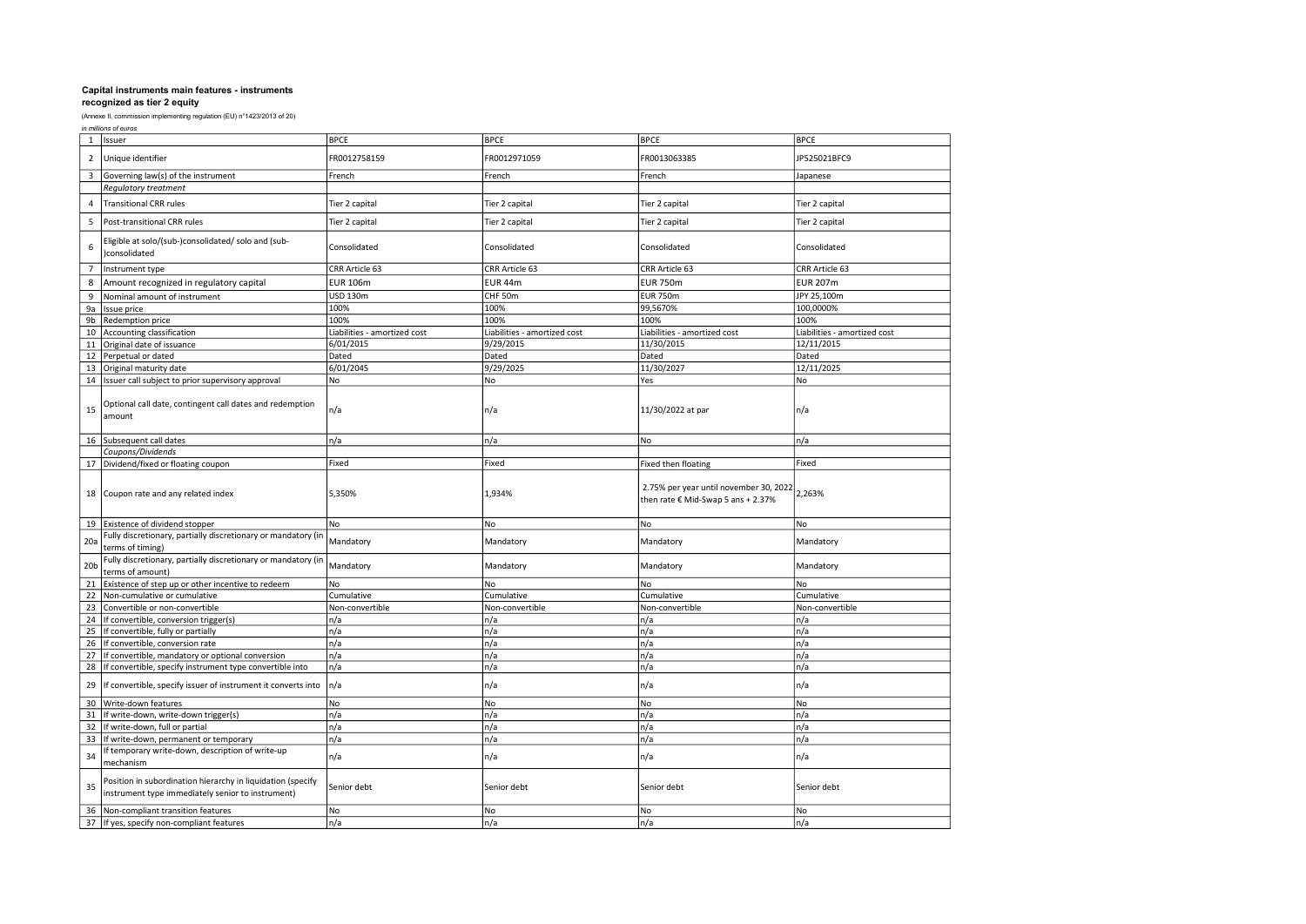|                 | in millions of euros                                                                                             |                              |                              |                                                                              |                              |  |
|-----------------|------------------------------------------------------------------------------------------------------------------|------------------------------|------------------------------|------------------------------------------------------------------------------|------------------------------|--|
|                 | 1 Issuer                                                                                                         | <b>BPCE</b>                  | <b>BPCE</b>                  | <b>BPCE</b>                                                                  | <b>BPCE</b>                  |  |
| $\overline{2}$  | Unique identifier                                                                                                | FR0012758159                 | FR0012971059                 | FR0013063385                                                                 | JP525021BFC9                 |  |
|                 | Governing law(s) of the instrument                                                                               | French                       | French                       | French                                                                       | Japanese                     |  |
|                 | <b>Regulatory treatment</b>                                                                                      |                              |                              |                                                                              |                              |  |
| 4               | <b>Transitional CRR rules</b>                                                                                    | Tier 2 capital               | Tier 2 capital               | Tier 2 capital                                                               | Tier 2 capital               |  |
| 5               | Post-transitional CRR rules                                                                                      | Tier 2 capital               | Tier 2 capital               | Tier 2 capital                                                               | Tier 2 capital               |  |
| 6               | Eligible at solo/(sub-)consolidated/ solo and (sub-<br>)consolidated                                             | Consolidated                 | Consolidated                 | Consolidated                                                                 | Consolidated                 |  |
| $\overline{7}$  | Instrument type                                                                                                  | CRR Article 63               | CRR Article 63               | CRR Article 63                                                               | CRR Article 63               |  |
| 8               | Amount recognized in regulatory capital                                                                          | <b>EUR 106m</b>              | EUR 44m                      | <b>EUR 750m</b>                                                              | <b>EUR 207m</b>              |  |
| 9               | Nominal amount of instrument                                                                                     | USD 130m                     | CHF 50m                      | <b>EUR 750m</b>                                                              | JPY 25,100m                  |  |
| 9a              | Issue price                                                                                                      | 100%                         | 100%                         | 99,5670%                                                                     | 100,0000%                    |  |
| 9b              | <b>Redemption price</b>                                                                                          | 100%                         | 100%                         | 100%                                                                         | 100%                         |  |
|                 | 10 Accounting classification                                                                                     | Liabilities - amortized cost | Liabilities - amortized cost | Liabilities - amortized cost                                                 | Liabilities - amortized cost |  |
| 11              | Original date of issuance                                                                                        | 6/01/2015                    | 9/29/2015                    | 11/30/2015                                                                   | 12/11/2015                   |  |
|                 | 12 Perpetual or dated                                                                                            | Dated                        | Dated                        | Dated                                                                        | Dated                        |  |
|                 | 13 Original maturity date                                                                                        | 6/01/2045                    | 9/29/2025                    | 11/30/2027                                                                   | 12/11/2025                   |  |
|                 | 14 Issuer call subject to prior supervisory approval                                                             | No                           | No                           | Yes                                                                          | No                           |  |
| 15              | Optional call date, contingent call dates and redemption<br>amount                                               | n/a                          | n/a                          | 11/30/2022 at par                                                            | n/a                          |  |
|                 | 16 Subsequent call dates                                                                                         | n/a                          | n/a                          | No                                                                           | n/a                          |  |
|                 | Coupons/Dividends                                                                                                |                              |                              |                                                                              |                              |  |
|                 | 17 Dividend/fixed or floating coupon                                                                             | Fixed                        | Fixed                        | Fixed then floating                                                          | Fixed                        |  |
|                 | 18 Coupon rate and any related index                                                                             | 5,350%                       | 1,934%                       | 2.75% per year until november 30, 2022<br>then rate € Mid-Swap 5 ans + 2.37% | 2,263%                       |  |
|                 | 19 Existence of dividend stopper                                                                                 | No                           | No                           | <b>No</b>                                                                    | No                           |  |
| 20a             | Fully discretionary, partially discretionary or mandatory (in<br>terms of timing)                                | Mandatory                    | Mandatory                    | Mandatory                                                                    | Mandatory                    |  |
| 20 <sub>b</sub> | Fully discretionary, partially discretionary or mandatory (in<br>terms of amount)                                | Mandatory                    | Mandatory                    | Mandatory                                                                    | Mandatory                    |  |
|                 | 21 Existence of step up or other incentive to redeem                                                             | No                           | No                           | No                                                                           | No                           |  |
|                 | 22 Non-cumulative or cumulative                                                                                  | Cumulative                   | Cumulative                   | Cumulative                                                                   | Cumulative                   |  |
| 23              | Convertible or non-convertible                                                                                   | Non-convertible              | Non-convertible              | Non-convertible                                                              | Non-convertible              |  |
| 24              | If convertible, conversion trigger(s)                                                                            | n/a                          | n/a                          | n/a                                                                          | n/a                          |  |
| 25              | If convertible, fully or partially                                                                               | n/a                          | n/a                          | n/a                                                                          | n/a                          |  |
| 26              | If convertible, conversion rate                                                                                  | n/a                          | n/a                          | n/a                                                                          | n/a                          |  |
| 27              | If convertible, mandatory or optional conversion                                                                 | n/a                          | n/a                          | n/a                                                                          | n/a                          |  |
| 28              | If convertible, specify instrument type convertible into                                                         | n/a                          | n/a                          | n/a                                                                          | n/a                          |  |
| 29              | If convertible, specify issuer of instrument it converts into                                                    | n/a                          | n/a                          | n/a                                                                          | n/a                          |  |
| 30              | Write-down features                                                                                              | No                           | No                           | No                                                                           | No                           |  |
| 31              | If write-down, write-down trigger(s)                                                                             | n/a                          | n/a                          | n/a                                                                          | n/a                          |  |
| 32              | If write-down, full or partial                                                                                   | n/a                          | n/a                          | n/a                                                                          | n/a                          |  |
| 33              | If write-down, permanent or temporary                                                                            | n/a                          | n/a                          | n/a                                                                          | n/a                          |  |
| 34              | If temporary write-down, description of write-up<br>mechanism                                                    | n/a                          | n/a                          | n/a                                                                          | n/a                          |  |
| 35              | Position in subordination hierarchy in liquidation (specify<br>instrument type immediately senior to instrument) | Senior debt                  | Senior debt                  | Senior debt                                                                  | Senior debt                  |  |
| 36              | Non-compliant transition features                                                                                | No                           | No                           | No                                                                           | No                           |  |
|                 | 37 If yes, specify non-compliant features                                                                        | n/a                          | n/a                          | n/a                                                                          | n/a                          |  |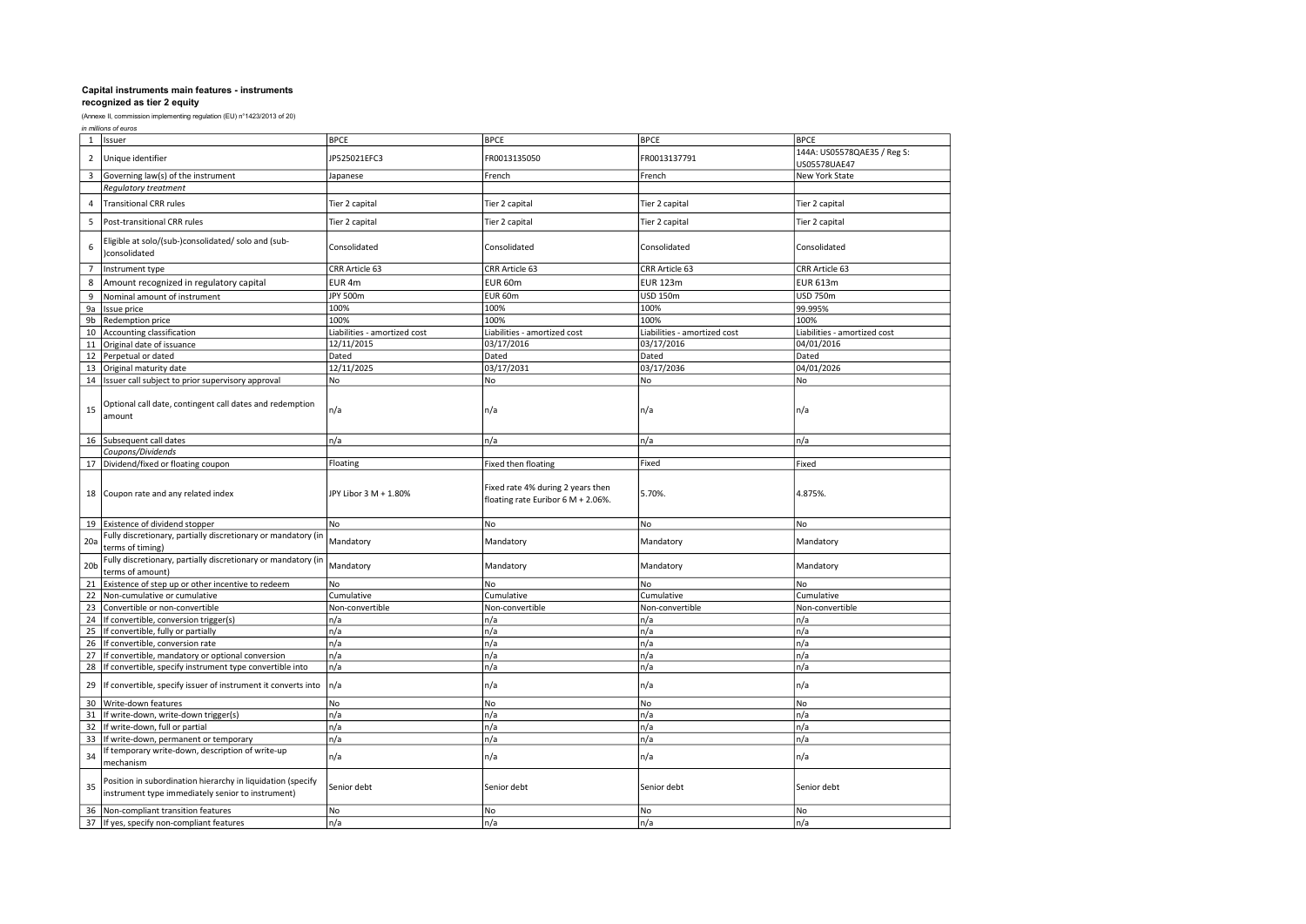|                 | in millions of euros                                                                                             |                              |                                                                             |                              |                                             |  |
|-----------------|------------------------------------------------------------------------------------------------------------------|------------------------------|-----------------------------------------------------------------------------|------------------------------|---------------------------------------------|--|
|                 | 1 Issuer                                                                                                         | <b>BPCE</b>                  | <b>BPCE</b>                                                                 | <b>BPCE</b>                  | <b>BPCE</b>                                 |  |
| $\overline{2}$  | Unique identifier                                                                                                | JP525021EFC3                 | FR0013135050                                                                | FR0013137791                 | 144A: US05578QAE35 / Reg S:<br>US05578UAE47 |  |
| 3               | Governing law(s) of the instrument                                                                               | Japanese                     | French                                                                      | French                       | New York State                              |  |
|                 | Regulatory treatment                                                                                             |                              |                                                                             |                              |                                             |  |
| 4               | <b>Transitional CRR rules</b>                                                                                    | Tier 2 capital               | Tier 2 capital                                                              | Tier 2 capital               | Tier 2 capital                              |  |
| 5               | Post-transitional CRR rules                                                                                      | Tier 2 capital               | Tier 2 capital                                                              | Tier 2 capital               | Tier 2 capital                              |  |
| 6               | Eligible at solo/(sub-)consolidated/ solo and (sub-<br>)consolidated                                             | Consolidated                 | Consolidated                                                                | Consolidated                 | Consolidated                                |  |
| $\overline{7}$  | Instrument type                                                                                                  | CRR Article 63               | CRR Article 63                                                              | CRR Article 63               | CRR Article 63                              |  |
| 8               | Amount recognized in regulatory capital                                                                          | EUR 4m                       | EUR 60m                                                                     | <b>EUR 123m</b>              | <b>EUR 613m</b>                             |  |
| 9               | Nominal amount of instrument                                                                                     | JPY 500m                     | EUR 60m                                                                     | <b>USD 150m</b>              | <b>USD 750m</b>                             |  |
| 9a              | Issue price                                                                                                      | 100%                         | 100%                                                                        | 100%                         | 99.995%                                     |  |
| 9b              | Redemption price                                                                                                 | 100%                         | 100%                                                                        | 100%                         | 100%                                        |  |
|                 | 10 Accounting classification                                                                                     | Liabilities - amortized cost | Liabilities - amortized cost                                                | Liabilities - amortized cost | Liabilities - amortized cost                |  |
| 11              | Original date of issuance                                                                                        | 12/11/2015                   | 03/17/2016                                                                  | 03/17/2016                   | 04/01/2016                                  |  |
|                 | 12 Perpetual or dated                                                                                            | Dated                        | Dated                                                                       | Dated                        | Dated                                       |  |
|                 | 13 Original maturity date                                                                                        | 12/11/2025                   | 03/17/2031                                                                  | 03/17/2036                   | 04/01/2026                                  |  |
|                 | 14 Issuer call subject to prior supervisory approval                                                             | No                           | No                                                                          | No                           | No                                          |  |
| 15              | Optional call date, contingent call dates and redemption<br>amount                                               | n/a                          | n/a                                                                         | n/a                          | n/a                                         |  |
|                 | 16 Subsequent call dates                                                                                         | n/a                          | n/a                                                                         | n/a                          | n/a                                         |  |
|                 | Coupons/Dividends                                                                                                |                              |                                                                             |                              |                                             |  |
|                 | 17 Dividend/fixed or floating coupon                                                                             | Floating                     | Fixed then floating                                                         | Fixed                        | Fixed                                       |  |
|                 | 18 Coupon rate and any related index                                                                             | JPY Libor 3 M + 1.80%        | Fixed rate 4% during 2 years then<br>floating rate Euribor $6 M + 2.06\%$ . | 5.70%.                       | 4.875%                                      |  |
|                 | 19 Existence of dividend stopper                                                                                 | No                           | No                                                                          | No                           | No                                          |  |
| 20a             | Fully discretionary, partially discretionary or mandatory (in<br>terms of timing)                                | Mandatory                    | Mandatory                                                                   | Mandatory                    | Mandatory                                   |  |
| 20 <sub>b</sub> | Fully discretionary, partially discretionary or mandatory (in<br>terms of amount)                                | Mandatory                    | Mandatory                                                                   | Mandatory                    | Mandatory                                   |  |
|                 | 21 Existence of step up or other incentive to redeem                                                             | No                           | No                                                                          | No                           | <b>No</b>                                   |  |
| 22              | Non-cumulative or cumulative                                                                                     | Cumulative                   | Cumulative                                                                  | Cumulative                   | Cumulative                                  |  |
| 23              | Convertible or non-convertible                                                                                   | Non-convertible              | Non-convertible                                                             | Non-convertible              | Non-convertible                             |  |
| 24              | If convertible, conversion trigger(s)                                                                            | n/a                          | n/a                                                                         | n/a                          | n/a                                         |  |
| 25              | If convertible, fully or partially                                                                               | n/a                          | n/a                                                                         | n/a                          | n/a                                         |  |
| 26              | If convertible, conversion rate                                                                                  | n/a                          | n/a                                                                         | n/a                          | n/a                                         |  |
| 27              | If convertible, mandatory or optional conversion                                                                 | n/a                          | n/a                                                                         | n/a                          | n/a                                         |  |
| 28              | If convertible, specify instrument type convertible into                                                         | n/a                          | n/a                                                                         | n/a                          | n/a                                         |  |
| 29              | If convertible, specify issuer of instrument it converts into                                                    | n/a                          | n/a                                                                         | n/a                          | n/a                                         |  |
| 30              | Write-down features                                                                                              | No                           | No                                                                          | No                           | No                                          |  |
| 31              | If write-down, write-down trigger(s)                                                                             | n/a                          | n/a                                                                         | n/a                          | n/a                                         |  |
| 32              | If write-down, full or partial                                                                                   | n/a                          | n/a                                                                         | n/a                          | n/a                                         |  |
| 33              | If write-down, permanent or temporary                                                                            | n/a                          | n/a                                                                         | n/a                          | n/a                                         |  |
| 34              | If temporary write-down, description of write-up<br>mechanism                                                    | n/a                          | n/a                                                                         | n/a                          | n/a                                         |  |
| 35              | Position in subordination hierarchy in liquidation (specify<br>instrument type immediately senior to instrument) | Senior debt                  | Senior debt                                                                 | Senior debt                  | Senior debt                                 |  |
| 36              | Non-compliant transition features                                                                                | No                           | No                                                                          | No                           | No                                          |  |
|                 | 37 If yes, specify non-compliant features                                                                        | n/a                          | n/a                                                                         | n/a                          | n/a                                         |  |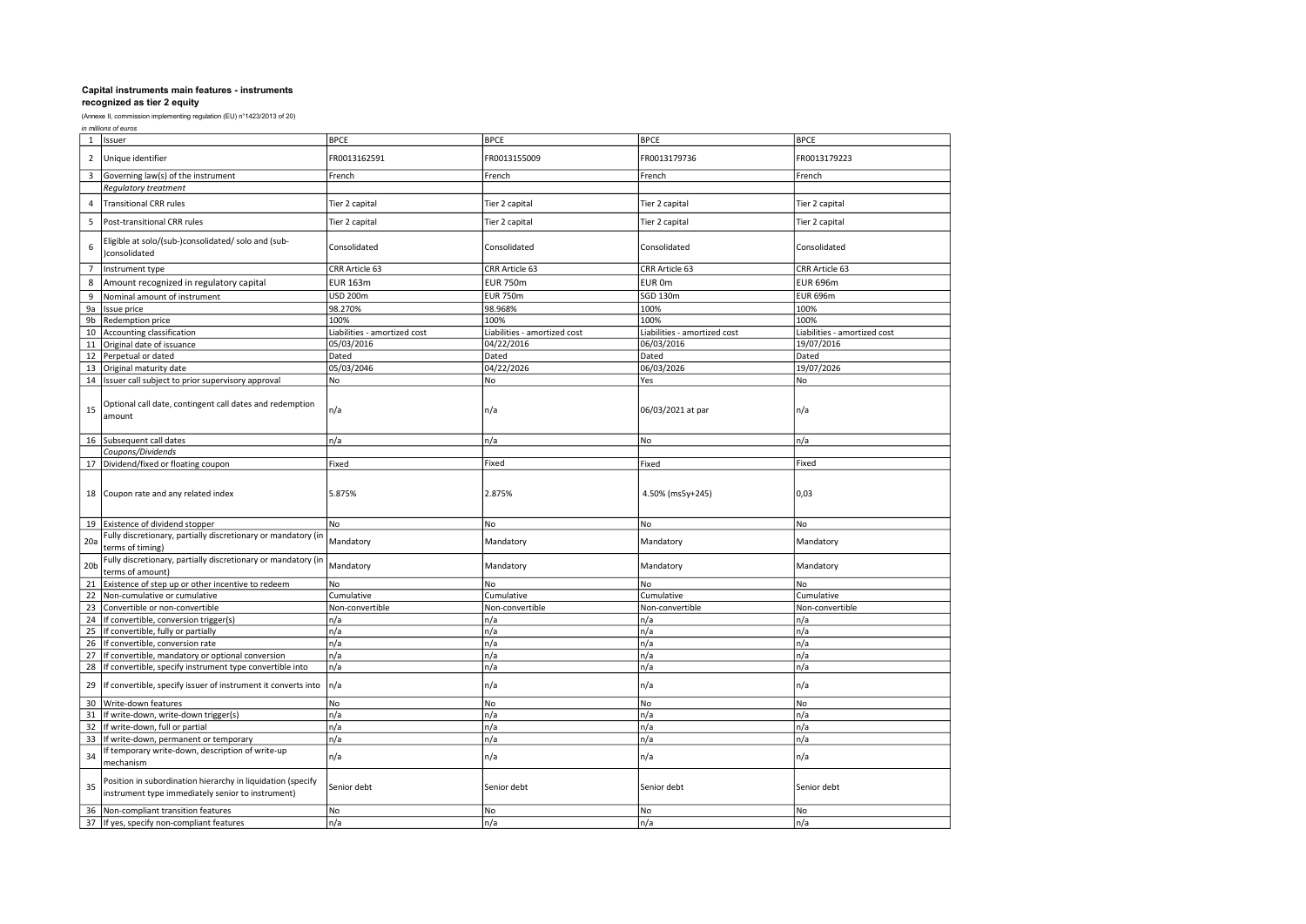|                 | in millions of euros                                                                                             |                              |                              |                              |                              |  |
|-----------------|------------------------------------------------------------------------------------------------------------------|------------------------------|------------------------------|------------------------------|------------------------------|--|
| 1               | Issuer                                                                                                           | <b>BPCE</b>                  | <b>BPCE</b>                  | <b>BPCE</b>                  | <b>BPCE</b>                  |  |
| $\mathbf 2$     | Unique identifier                                                                                                | FR0013162591                 | FR0013155009                 | FR0013179736                 | FR0013179223                 |  |
| 3               | Governing law(s) of the instrument                                                                               | French                       | French                       | French                       | French                       |  |
|                 | <b>Regulatory treatment</b>                                                                                      |                              |                              |                              |                              |  |
| 4               | <b>Transitional CRR rules</b>                                                                                    | Tier 2 capital               | Tier 2 capital               | Tier 2 capital               | Tier 2 capital               |  |
| 5               | Post-transitional CRR rules                                                                                      | Tier 2 capital               | Tier 2 capital               | Tier 2 capital               | Tier 2 capital               |  |
| 6               | Eligible at solo/(sub-)consolidated/ solo and (sub-<br>)consolidated                                             | Consolidated                 | Consolidated                 | Consolidated                 | Consolidated                 |  |
| $\overline{7}$  | Instrument type                                                                                                  | CRR Article 63               | CRR Article 63               | CRR Article 63               | CRR Article 63               |  |
| 8               | Amount recognized in regulatory capital                                                                          | <b>EUR 163m</b>              | <b>EUR 750m</b>              | EUR 0m                       | <b>EUR 696m</b>              |  |
| 9               | Nominal amount of instrument                                                                                     | <b>USD 200m</b>              | <b>EUR 750m</b>              | <b>SGD 130m</b>              | <b>EUR 696m</b>              |  |
| 9a              | Issue price                                                                                                      | 98.270%                      | 98.968%                      | 100%                         | 100%                         |  |
| 9b              | Redemption price                                                                                                 | 100%                         | 100%                         | 100%                         | 100%                         |  |
|                 | 10 Accounting classification                                                                                     | Liabilities - amortized cost | Liabilities - amortized cost | Liabilities - amortized cost | Liabilities - amortized cost |  |
| 11              | Original date of issuance                                                                                        | 05/03/2016                   | 04/22/2016                   | 06/03/2016                   | 19/07/2016                   |  |
|                 | 12 Perpetual or dated                                                                                            | Dated                        | Dated                        | Dated                        | Dated                        |  |
| 13              | Original maturity date                                                                                           | 05/03/2046                   | 04/22/2026                   | 06/03/2026                   | 19/07/2026                   |  |
|                 | 14 Issuer call subject to prior supervisory approval                                                             | No                           | No                           | Yes                          | No                           |  |
| 15              | Optional call date, contingent call dates and redemption<br>amount                                               | n/a                          | n/a                          | 06/03/2021 at par            | n/a                          |  |
|                 | 16 Subsequent call dates                                                                                         | n/a                          | n/a                          | No                           | n/a                          |  |
|                 | Coupons/Dividends                                                                                                |                              |                              |                              |                              |  |
|                 | 17 Dividend/fixed or floating coupon                                                                             | Fixed                        | Fixed                        | Fixed                        | Fixed                        |  |
|                 | 18 Coupon rate and any related index                                                                             | 5.875%                       | 2.875%                       | 4.50% (ms5y+245)             | 0,03                         |  |
|                 | 19 Existence of dividend stopper                                                                                 | No                           | No                           | No                           | No                           |  |
| 20a             | Fully discretionary, partially discretionary or mandatory (in<br>terms of timing)                                | Mandatory                    | Mandatory                    | Mandatory                    | Mandatory                    |  |
| 20 <sub>b</sub> | Fully discretionary, partially discretionary or mandatory (in<br>terms of amount)                                | Mandatory                    | Mandatory                    | Mandatory                    | Mandatory                    |  |
| 21              | Existence of step up or other incentive to redeem                                                                | No                           | No                           | No                           | No                           |  |
| 22              | Non-cumulative or cumulative                                                                                     | Cumulative                   | Cumulative                   | Cumulative                   | Cumulative                   |  |
| 23              | Convertible or non-convertible                                                                                   | Non-convertible              | Non-convertible              | Non-convertible              | Non-convertible              |  |
| 24              | If convertible, conversion trigger(s)                                                                            | n/a                          | n/a                          | n/a                          | n/a                          |  |
| 25              | If convertible, fully or partially                                                                               | n/a                          | n/a                          | n/a                          | n/a                          |  |
| 26              | If convertible, conversion rate                                                                                  | n/a                          | n/a                          | n/a                          | n/a                          |  |
| 27              | If convertible, mandatory or optional conversion                                                                 | n/a                          | n/a                          | n/a                          | n/a                          |  |
|                 | 28 If convertible, specify instrument type convertible into                                                      | n/a                          | n/a                          | n/a                          | n/a                          |  |
| 29              | If convertible, specify issuer of instrument it converts into                                                    | n/a                          | n/a                          | n/a                          | n/a                          |  |
| 30              | Write-down features                                                                                              | No.                          | No                           | No                           | No                           |  |
| 31              | If write-down, write-down trigger(s)                                                                             | n/a                          | n/a                          | n/a                          | n/a                          |  |
| 32              | If write-down, full or partial                                                                                   | n/a                          | n/a                          | n/a                          | n/a                          |  |
| 33              | If write-down, permanent or temporary                                                                            | n/a                          | n/a                          | n/a                          | n/a                          |  |
| 34              | If temporary write-down, description of write-up<br>mechanism                                                    | n/a                          | n/a                          | n/a                          | n/a                          |  |
| 35              | Position in subordination hierarchy in liquidation (specify<br>instrument type immediately senior to instrument) | Senior debt                  | Senior debt                  | Senior debt                  | Senior debt                  |  |
| 36              | Non-compliant transition features                                                                                | No                           | No                           | No                           | No                           |  |
|                 | 37 If yes, specify non-compliant features                                                                        | n/a                          | n/a                          | n/a                          | n/a                          |  |